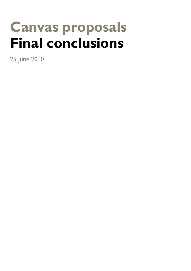# **Canvas proposals Final conclusions**

25 June 2010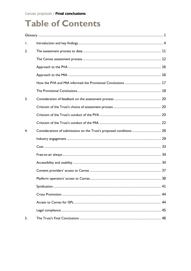### **Table of Contents**

| $\mathsf{L}$ |                                                                      |  |
|--------------|----------------------------------------------------------------------|--|
| 2.           |                                                                      |  |
|              |                                                                      |  |
|              |                                                                      |  |
|              |                                                                      |  |
|              |                                                                      |  |
|              |                                                                      |  |
| 3.           |                                                                      |  |
|              |                                                                      |  |
|              |                                                                      |  |
|              |                                                                      |  |
| 4.           | Considerations of submissions on the Trust's proposed conditions  28 |  |
|              |                                                                      |  |
|              |                                                                      |  |
|              |                                                                      |  |
|              |                                                                      |  |
|              |                                                                      |  |
|              |                                                                      |  |
|              |                                                                      |  |
|              |                                                                      |  |
|              |                                                                      |  |
|              |                                                                      |  |
| 5.           |                                                                      |  |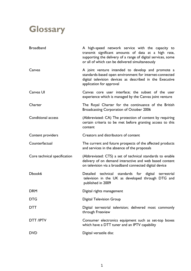### <span id="page-4-0"></span>**Glossary**

| <b>Broadband</b>             | A high-speed network service with the capacity to<br>transmit significant amounts of data at a high rate,<br>supporting the delivery of a range of digital services, some<br>or all of which can be delivered simultaneously |
|------------------------------|------------------------------------------------------------------------------------------------------------------------------------------------------------------------------------------------------------------------------|
| Canvas                       | A joint venture intended to develop and promote a<br>standards-based open environment for internet-connected<br>digital television devices as described in the Executive<br>application for approval                         |
| Canvas UI                    | Canvas core user interface; the subset of the user<br>experience which is managed by the Canvas joint venture                                                                                                                |
| Charter                      | The Royal Charter for the continuance of the British<br>Broadcasting Corporation of October 2006                                                                                                                             |
| <b>Conditional access</b>    | (Abbreviated: CA) The protection of content by requiring<br>certain criteria to be met before granting access to this<br>content                                                                                             |
| Content providers            | Creators and distributors of content                                                                                                                                                                                         |
| Counterfactual               | The current and future prospects of the affected products<br>and services in the absence of the proposals                                                                                                                    |
| Core technical specification | (Abbreviated: CTS) a set of technical standards to enable<br>delivery of on demand interactive and web based content<br>on television via a broadband connected digital device                                               |
| Dbook6                       | Detailed technical standards for digital terrestrial<br>television in the UK as developed through DTG and<br>published in 2009                                                                                               |
| DRM                          | Digital rights management                                                                                                                                                                                                    |
| DTG                          | <b>Digital Television Group</b>                                                                                                                                                                                              |
|                              |                                                                                                                                                                                                                              |
| DTT                          | Digital terrestrial television; delivered most commonly<br>through Freeview                                                                                                                                                  |
| <b>DTT /IPTV</b>             | Consumer electronics equipment such as set-top boxes<br>which have a DTT tuner and an IPTV capability                                                                                                                        |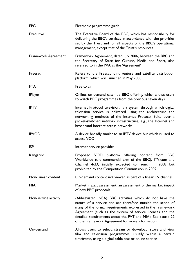| <b>EPG</b>                 | Electronic programme guide                                                                                                                                                                                                                                                                                                                                         |
|----------------------------|--------------------------------------------------------------------------------------------------------------------------------------------------------------------------------------------------------------------------------------------------------------------------------------------------------------------------------------------------------------------|
| <b>Executive</b>           | The Executive Board of the BBC, which has responsibility for<br>delivering the BBC's services in accordance with the priorities<br>set by the Trust and for all aspects of the BBC's operational<br>management, except that of the Trust's resources                                                                                                               |
| <b>Framework Agreement</b> | Framework Agreement, dated July 2006, between the BBC and<br>the Secretary of State for Culture, Media and Sport, also<br>referred to in the PVA as the 'Agreement'                                                                                                                                                                                                |
| Freesat                    | Refers to the Freesat joint venture and satellite distribution<br>platform, which was launched in May 2008                                                                                                                                                                                                                                                         |
| <b>FTA</b>                 | Free to air                                                                                                                                                                                                                                                                                                                                                        |
| iPlayer                    | Online, on-demand catch-up BBC offering, which allows users<br>to watch BBC programmes from the previous seven days                                                                                                                                                                                                                                                |
| <b>IPTV</b>                | Internet Protocol television; is a system through which digital<br>television service is delivered using the architecture and<br>networking methods of the Internet Protocol Suite over a<br>packet-switched network infrastructure, e.g., the Internet and<br>broadband Internet access networks                                                                  |
| <b>IPVOD</b>               | A device broadly similar to an IPTV device but which is used to<br>access VOD                                                                                                                                                                                                                                                                                      |
| <b>ISP</b>                 | Internet service provider                                                                                                                                                                                                                                                                                                                                          |
| Kangaroo                   | Proposed VOD platform offering content from<br><b>BBC</b><br>Worldwide (the commercial arm of the BBC), ITV.com and<br>Channel 4oD, initially expected to launch in 2008 but<br>prohibited by the Competition Commission in 2009                                                                                                                                   |
| Non-Linear content         | On-demand content not viewed as part of a linear TV channel                                                                                                                                                                                                                                                                                                        |
| <b>MIA</b>                 | Market impact assessment; an assessment of the market impact<br>of new BBC proposals                                                                                                                                                                                                                                                                               |
| Non-service activity       | (Abbreviated: NSA) BBC activities which do not have the<br>nature of a service and are therefore outside the scope of<br>many of the formal requirements expressed in the Framework<br>Agreement (such as the system of service licences and the<br>detailed requirements about the PVT and MIA). See clause 22<br>of the Framework Agreement for more information |
| On-demand                  | Allows users to select, stream or download, store and view<br>film and television programmes, usually within a certain<br>timeframe, using a digital cable box or online service                                                                                                                                                                                   |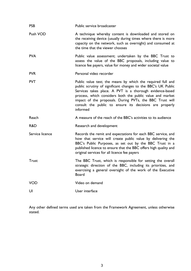| Public service broadcaster                                                                                                                                                                                                                                                                                                                                                               |
|------------------------------------------------------------------------------------------------------------------------------------------------------------------------------------------------------------------------------------------------------------------------------------------------------------------------------------------------------------------------------------------|
| A technique whereby content is downloaded and stored on<br>the receiving device (usually during times where there is more<br>capacity on the network, such as overnight) and consumed at<br>the time that the viewer chooses                                                                                                                                                             |
| Public value assessment; undertaken by the BBC Trust to<br>assess the value of the BBC proposals, including value to<br>licence fee payers, value for money and wider societal value                                                                                                                                                                                                     |
| Personal video recorder                                                                                                                                                                                                                                                                                                                                                                  |
| Public value test; the means by which the required full and<br>public scrutiny of significant changes to the BBC's UK Public<br>Services takes place. A PVT is a thorough evidence-based<br>process, which considers both the public value and market<br>impact of the proposals. During PVTs, the BBC Trust will<br>consult the public to ensure its decisions are properly<br>informed |
| A measure of the reach of the BBC's activities to its audience                                                                                                                                                                                                                                                                                                                           |
| Research and development                                                                                                                                                                                                                                                                                                                                                                 |
| Records the remit and expectations for each BBC service, and<br>how that service will create public value by delivering the<br>BBC's Public Purposes, as set out by the BBC Trust in a<br>published licence to ensure that the BBC offers high quality and<br>original services for all licence fee payers                                                                               |
| The BBC Trust, which is responsible for setting the overall<br>strategic direction of the BBC, including its priorities, and<br>exercising a general oversight of the work of the Executive<br><b>Board</b>                                                                                                                                                                              |
| Video on demand                                                                                                                                                                                                                                                                                                                                                                          |
| User interface                                                                                                                                                                                                                                                                                                                                                                           |
|                                                                                                                                                                                                                                                                                                                                                                                          |

Any other defined terms used are taken from the Framework Agreement, unless otherwise stated.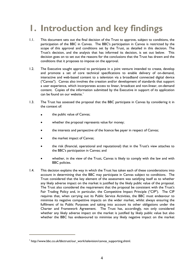## <span id="page-7-0"></span>**1. Introduction and key findings**

- 1.1. This document sets out the final decision of the Trust to approve, subject to conditions, the participation of the BBC in Canvas. The BBC's participation in Canvas is restricted by the scope of this approval and conditions set by the Trust, as detailed in this decision. The Trust's decision, and the analysis that has informed its decision, is set out below. This decision goes on to set out the reasons for the conclusions that the Trust has drawn and the conditions that it proposes to impose on the approval.
- 1.2. The Executive sought approval to participate in a joint venture intended to create, develop and promote a set of core technical specifications to enable delivery of on-demand, interactive and web-based content to a television via a broadband connected digital device ("Canvas"). Canvas also involves the creation and/or development of standards that support a user experience, which incorporates access to linear, broadcast and non-linear, on-demand content. Copies of the information submitted by the Executive in support of its application can be found on our website.<sup>[1](#page-7-0)</sup>
- 1.3. The Trust has assessed the proposal that the BBC participate in Canvas by considering it in the context of:
	- the public value of Canvas;
	- whether the proposal represents value for money;
	- the interests and perspective of the licence fee payer in respect of Canvas;
	- the market impact of Canvas;
	- the risk (financial, operational and reputational) that in the Trust's view attaches to the BBC's participation in Canvas; and
	- whether, in the view of the Trust, Canvas is likely to comply with the law and with BBC policies.
- 1.4. This decision explains the way in which the Trust has taken each of these considerations into account in determining that the BBC may participate in Canvas subject to conditions. The Trust considered that the key element of the assessment was satisfying itself as to whether any likely adverse impact on the market is justified by the likely public value of the proposal. The Trust also considered the requirement that the proposal be consistent with the Trust's Fair Trading Policy and, in particular, the Competitive Impact Principle ("CIP"). The CIP requires that, when carrying out its Public Service Activities, the BBC must endeavour to minimise its negative competitive impacts on the wider market, whilst always ensuring the fulfilment of its Public Purposes and taking into account its other obligations under the Charter and Framework Agreement. The Trust has, accordingly, not only considered whether any likely adverse impact on the market is justified by likely public value but also whether the BBC has endeavoured to minimise any likely negative impact on the market

i.

 $1$  http://www.bbc.co.uk/bbctrust/our\_work/television/canvas\_supporting.shtml.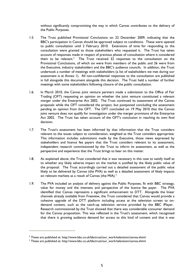without significantly compromising the way in which Canvas contributes to the delivery of the Public Purposes.

- <span id="page-8-0"></span>1.5. The Trust published Provisional Conclusions on 22 December 2009, indicating that the BBC's participation in Canvas should be approved subject to conditions. These were opened to public consultation until 2 February 2010. Extensions of time for responding to the consultation were granted to those stakeholders who requested it. The Trust has taken account of responses made in respect of previous phases of consultation where it considered them to be relevant.<sup>[2](#page-8-0)</sup> The Trust received 32 responses to the consultation on the Provisional Conclusions, of which six were from members of the public and 26 were from the Executive, industry stakeholders and the BBC's audience councils. In addition, the Trust undertook a number of meetings with stakeholders (a list of stakeholders we met during our assessment is at Annex 1). All non-confidential responses to the consultation are published in full alongside this document alongside this decision. The Trust held a number of further meetings with some stakeholders following closure of the public consultation.
- 1.6. In March 2010, the Canvas joint venture partners made a submission to the Office of Fair Trading (OFT) requesting an opinion on whether the joint venture constituted a relevant merger under the Enterprise Act 2002. The Trust continued its assessment of the Canvas proposals while the OFT considered the project, but postponed concluding the assessment pending an opinion from the OFT. The OFT concluded on 19 May 2010 that the Canvas joint venture does not qualify for investigation under the merger provisions of the Enterprise Act 2002. The Trust has taken account of the OFT's conclusion in reaching its own final decision.
- 1.7. The Trust's assessment has been informed by that information that the Trust considers relevant to the issues subject to consideration, weighted as the Trust considers appropriate. This information includes submissions made by the Executive, those views expressed by stakeholders and licence fee payers that the Trust considers relevant to its assessment, independent research commissioned by the Trust to inform its assessment, as well as the perspective and experience that the Trust brings to bear on this matter.
- 1.8. As explained above, the Trust considered that it was necessary in this case to satisfy itself as to whether any likely adverse impact on the market is justified by the likely public value of the proposal. The Trust accordingly carried out a detailed assessment of the public value likely to be delivered by Canvas (the PVA) as well as a detailed assessment of likely impacts on relevant markets as a result of Canvas (the MIA). $3$
- 1.9. The PVA included an analysis of delivery against the Public Purposes, fit with BBC strategy, value for money and the interests and perspective of the licence fee payer. The PVA identified that Canvas represents a significant enhancement to DTT. Alongside the linear channels already available from Freeview, the Trust considered that Canvas would provide a cohesive upgrade of the DTT platform including access at the television screen to ondemand content, such as the catch-up television service provided by the BBC iPlayer. Research commissioned by the Trust showed that there was considerable consumer demand for the Canvas proposition. This was reflected in the Trust's assessment, which recognised that there is growing audience demand for access to this kind of content and that it was

i.

 $^2$  These are published at: http://www.bbc.co.uk/bbctrust/our\_work/television/canvas.shtml<br><sup>3</sup> These are published at: http://www.bbc.co.uk/bbctrust/our\_work/television/canvas.shtml

<sup>&</sup>lt;sup>3</sup> These are published at: http://www.bbc.co.uk/bbctrust/our\_work/television/canvas.shtml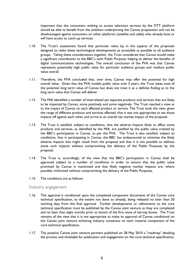important that the consumers wishing to access television services by the DTT platform should be able to benefit from the ambition underpinning the Canvas proposition and not be disadvantaged against consumers on other platforms (satellite and cable) who already have or will have access to catch-up services.

- 1.10. The Trust's assessment found that particular value lay in the aspects of the proposals designed to make these technological developments as accessible as possible to all audience groups. Taking these considerations together, the Trust considered that Canvas would make a significant contribution to the BBC's sixth Public Purpose: helping to deliver the benefits of digital communications technologies. The overall conclusion of the PVA was that Canvas represents potentially high public value for particular audience groups and medium public value overall.
- 1.11. Therefore, the PVA concluded that, over time, Canvas may offer the potential for high overall value. Given that the PVA models public value over 5 years, the Trust takes note of the potential long term value of Canvas but does not treat it as a definite finding as to the long term value that Canvas will deliver.
- 1.12. The MIA identified a number of interrelated yet separate products and services that are likely to be impacted by Canvas, some positively and some negatively. The Trust reached a view as to the impact of Canvas on each affected product or service. The Trust took the view, given the range of different products and services affected, that it was not appropriate to set those impacts off against each other and arrive at an overall net market impact of the proposal.
- 1.13. The Trust is satisfied, subject to conditions, that the adverse impacts likely to affect some products and services, as identified by the MIA, are justified by the public value created by the BBC's participation in Canvas, as per the PVA. The Trust is also satisfied, subject to conditions, that in participating in Canvas, the BBC has endeavoured to minimise the likely adverse impacts that might result from the proposal and that it is not possible to address some such impacts without compromising the delivery of the Public Purposes by the proposal.
- 1.14. The Trust is, accordingly, of the view that the BBC's participation in Canvas shall be approved subject to a number of conditions in order to ensure that the public value promised by Canvas is maximised and that likely negative market impacts are, where possible, minimised without compromising the delivery of the Public Purposes.
- 1.15. The conditions are as follows:

#### Industry engagement

- 1.16. This approval is conditional upon the completed component documents of the Canvas core technical specification, to the extent not done so already, being released no later than 20 working days from this final approval. Further developments or refinements to the core technical specification must be published by the Canvas joint venture as they are completed and no later than eight months prior to launch of the first wave of set-top boxes. The Trust remains of the view that it is not appropriate to make its approval of Canvas conditional on the Canvas joint venture achieving industry consensus on each material component of the core technical specification.
- 1.17. The putative Canvas joint venture partners published on 28 May 2010 a "roadmap" detailing the process and timetable for publication and engagement on the core technical specification.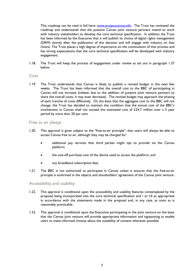This roadmap can be read in full here: www.projectcanvas.info. The Trust has reviewed the roadmap and understands that the putative Canvas joint venture partners intend to work with industry stakeholders to develop the core technical specification. In addition the Trust has been informed by the Executive that it will publish its choice of digital rights management (DRM) shortly after the publication of this decision and will engage with industry on that choice. The Trust places a high degree of importance on the continuation of that process and has strong expectations that the core technical specification will be developed with industry engagement.

1.18. The Trust will keep the process of engagement under review as set out in paragraph 1.37 below.

#### Cost

1.19. The Trust understands that Canvas is likely to publish a revised budget in the next few weeks. The Trust has been informed that the overall cost to the BBC of participating in Canvas will not increase (indeed, due to the addition of putative joint venture partners to share the overall costs, it may even decrease). The revised budget may approach the phasing of each tranche of costs differently. On the basis that the aggregate cost to the BBC will not change, the Trust has decided to maintain the condition that the annual cost of the BBC's involvement in Canvas shall not exceed the estimated cost of £24.7 million over a 5 year period by more than 20 per cent.

#### Free to air always

- 1.20. This approval is given subject to the "free-to-air principle", that users will always be able to access Canvas free to air, although they may be charged for:
	- additional pay services that third parties might opt to provide via the Canvas platform;
	- the one-off purchase cost of the device used to access the platform; and
	- any broadband subscription fees.
- 1.21. The BBC is not authorised to participate in Canvas unless it ensures that the free-to-air principle is enshrined in the objects and shareholders' agreement of the Canvas joint venture.

#### Accessibility and usability

- 1.22. This approval is conditional upon the accessibility and usability features contemplated by the proposal being incorporated into the core technical specification and / or UI as appropriate in accordance with the statements made in the proposal and, in any case, as soon as is reasonably practicable.
- 1.23. This approval is conditional upon the Executive participating in the joint venture on the basis that the Canvas joint venture will provide appropriate information and signposting to enable users to make informed choices about the suitability of content wherever possible.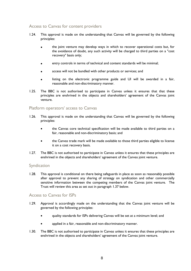#### Access to Canvas for content providers

- 1.24. This approval is made on the understanding that Canvas will be governed by the following principles:
	- the joint venture may develop ways in which to recover operational costs but, for the avoidance of doubt, any such activity will be charged to third parties on a "cost recovery" basis only;
	- entry controls in terms of technical and content standards will be minimal;
	- access will not be bundled with other products or services; and
	- listing on the electronic programme guide and UI will be awarded in a fair, reasonable and non-discriminatory manner.
- 1.25. The BBC is not authorised to participate in Canvas unless it ensures that that these principles are enshrined in the objects and shareholders' agreement of the Canvas joint venture.

#### Platform operators' access to Canvas

- 1.26. This approval is made on the understanding that Canvas will be governed by the following principles:
	- the Canvas core technical specification will be made available to third parties on a fair, reasonable and non-discriminatory basis; and
	- the Canvas trade mark will be made available to those third parties eligible to license it on a cost recovery basis.
- 1.27. The BBC is not authorised to participate in Canvas unless it ensures that these principles are enshrined in the objects and shareholders' agreement of the Canvas joint venture.

#### Syndication

1.28. This approval is conditional on there being safeguards in place as soon as reasonably possible after approval to prevent any sharing of strategy on syndication and other commercially sensitive information between the competing members of the Canvas joint venture. The Trust will review this area as set out in paragraph 1.37 below.

#### Access to Canvas for ISPs

- 1.29. Approval is accordingly made on the understanding that the Canvas joint venture will be governed by the following principles:
	- quality standards for ISPs delivering Canvas will be set at a minimum level; and
	- applied in a fair, reasonable and non-discriminatory manner.
- 1.30. The BBC is not authorised to participate in Canvas unless it ensures that these principles are enshrined in the objects and shareholders' agreement of the Canvas joint venture.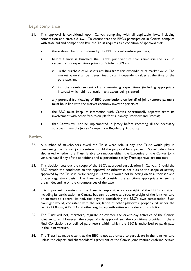#### Legal compliance

- 1.31. This approval is conditional upon Canvas complying with all applicable laws, including competition and state aid law. To ensure that the BBC's participation in Canvas complies with state aid and competition law, the Trust requires as a condition of approval that:
	- there should be no subsidising by the BBC of joint venture partners;
	- before Canvas is launched, the Canvas joint venture shall reimburse the BBC in respect of its expenditure prior to October 2009 via:
		- o i) the purchase of all assets resulting from this expenditure at market value. The market value shall be determined by an independent valuer at the time of the purchase; and
		- o ii) the reimbursement of any remaining expenditure (including appropriate interest) which did not result in any assets being created.
	- any potential frontloading of BBC contributions on behalf of joint venture partners must be in line with the market economy investor principle;
	- the BBC must keep its interaction with Canvas operationally separate from its involvement with other free-to-air platforms, namely Freeview and Freesat;
	- that Canvas will not be implemented in Jersey before receiving all the necessary approvals from the Jersey Competition Regulatory Authority.

#### Review

- 1.32. A number of stakeholders asked the Trust what role, if any, the Trust would play in overseeing the Canvas joint venture should the proposal be approved. Stakeholders have also asked whether the Trust is able to sanction either the Executive or the Canvas joint venture itself if any of the conditions and expectations set by Trust approval are not met.
- 1.33. This decision sets out the scope of the BBC's approved participation in Canvas. Should the BBC breach the conditions to this approval or otherwise act outside the scope of activity approved by the Trust in participating in Canvas, it would not be acting on an authorised and proper regulatory basis. The Trust would consider the sanctions appropriate to such a breach depending on the circumstances of the case.
- 1.34. It is important to note that the Trust is responsible for oversight of the BBC's activities, including its participation in Canvas, but cannot exercise direct oversight of the joint venture or attempt to control its activities beyond considering the BBC's own participation. Such oversight would, consistent with the regulation of other platforms, properly fall under the remit of Ofcom, ATVOD and other regulatory authorities with relevant jurisdiction.
- 1.35. The Trust will not, therefore, regulate or oversee the day-to-day activities of the Canvas joint venture. However, the scope of this approval and the conditions provided in these Final Conclusions set defined parameters within which the BBC is authorised to participate in the joint venture.
- 1.36. The Trust has made clear that the BBC is not authorised to participate in the joint venture unless the objects and shareholders' agreement of the Canvas joint venture enshrine certain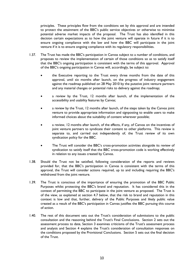principles. These principles flow from the conditions set by this approval and are intended to protect the attainment of the BBC's public service objectives or otherwise to minimise potential adverse market impacts of the proposal. The Trust has also identified in this decision certain expectations as to how the joint venture will operate in future if it is to ensure ongoing compliance with the law and how the BBC will participate in the joint venture if it is to ensure ongoing compliance with its regulatory responsibilities.

- 1.37. The Trust has made the BBC's participation in Canvas subject to a number of conditions, and proposes to review the implementation of certain of those conditions so as to satisfy itself that the BBC's ongoing participation is consistent with the terms of this approval. Approval of the BBC's ongoing participation in Canvas will, accordingly, be subject to:
	- the Executive reporting to the Trust every three months from the date of this approval, until six months after launch, on the progress of industry engagement against the roadmap published on 28 May 2010 by the putative joint venture partners and any material changes or potential risks to delivery against the roadmap;
	- a review by the Trust, 12 months after launch, of the implementation of the accessibility and usability features by Canvas;
	- a review by the Trust, 12 months after launch, of the steps taken by the Canvas joint venture to provide appropriate information and signposting to enable users to make informed choices about the suitability of content wherever possible;
	- a review, 12 months after launch, of the effects, if any, of Canvas on the incentives of joint venture partners to syndicate their content to other platforms. This review is separate to, and carried out independently of, the Trust review of its own syndication policy for the BBC.
	- The Trust will consider the BBC's cross-promotion activities alongside its review of syndication to satisfy itself that the BBC cross-promotion code is working effectively in relation to any issues created by Canvas.
- 1.38. Should the Trust not be satisfied, following consideration of the reports and reviews provided for, that the BBC's participation in Canvas is consistent with the terms of this approval, the Trust will consider actions required, up to and including requiring the BBC's withdrawal from the joint venture.
- 1.39. The Trust is conscious of the importance of ensuring the promotion of the BBC Public Purposes whilst protecting the BBC's brand and reputation. It has considered this in the context of permitting the BBC to participate in the joint venture as proposed. The Trust is of the view, as explained at section 4.7 below, that the risk to brand and reputation in this context is low and that, further, delivery of the Public Purposes and likely public value created as a result of the BBC's participation in Canvas justifies the BBC pursuing this course of action.
- 1.40. The rest of this document sets out the Trust's consideration of submissions to the public consultation and the reasoning behind the Trust's Final Conclusions. Section 2 sets out the assessment process to date, Section 3 examines criticisms of the Trust's assessment process and analysis and Section 4 explains the Trust's consideration of consultation responses on the conditions proposed by the Provisional Conclusions. Section 5 sets out the final decision of the Trust.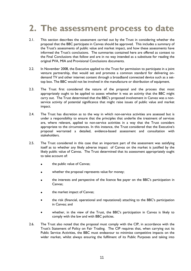## <span id="page-14-0"></span>**2. The assessment process to date**

- 2.1. This section describes the assessment carried out by the Trust in considering whether the proposal that the BBC participate in Canvas should be approved. This includes a summary of the Trust's assessments of public value and market impact, and how these assessments have informed the Trust's conclusions. The summaries contained here are offered as context to the Final Conclusions that follow and are in no way intended as a substitute for reading the original PVA, MIA and Provisional Conclusions documents.
- 2.2. In November 2008, the Executive applied to the Trust for permission to participate in a joint venture partnership, that would set and promote a common standard for delivering ondemand TV and other internet content through a broadband connected device such as a settop box. The BBC would not be involved in the manufacture or distribution of equipment.
- 2.3. The Trust first considered the nature of the proposal and the process that most appropriately ought to be applied to assess whether it was an activity that the BBC might carry out. The Trust determined that the BBC's proposed involvement in Canvas was a nonservice activity of potential significance that might raise issues of public value and market impact.
- 2.4. The Trust has discretion as to the way in which non-service activities are assessed but is under a responsibility to ensure that the principles that underlie the treatment of services are, where relevant, applied to non-service activities in a way that the Trust considers appropriate to the circumstances. In this instance, the Trust considered that the Executive's proposal warranted a detailed, evidence-based assessment and consultation with stakeholders.
- 2.5. The Trust considered in this case that an important part of the assessment was satisfying itself as to whether any likely adverse impact of Canvas on the market is justified by the likely public value of Canvas. The Trust determined that its assessment appropriately ought to take account of:
	- the public value of Canvas;
	- whether the proposal represents value for money;
	- the interests and perspective of the licence fee payer on the BBC's participation in Canvas;
	- the market impact of Canvas;
	- the risk (financial, operational and reputational) attaching to the BBC's participation in Canvas; and
	- whether, in the view of the Trust, the BBC's participation in Canvas is likely to comply with the law and with BBC policies.
- 2.6. The Trust also noted that the proposal must comply with the CIP, in accordance with the Trust's Statement of Policy on Fair Trading. The CIP requires that, when carrying out its Public Service Activities, the BBC must endeavour to minimise competitive impacts on the wider market, whilst always ensuring the fulfilment of its Public Purposes and taking into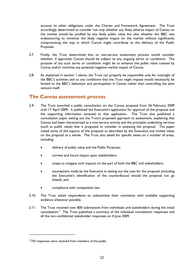<span id="page-15-0"></span>account its other obligations under the Charter and Framework Agreement. The Trust accordingly determined to consider not only whether any likely adverse impact of Canvas on the market would be justified by any likely public value but also whether the BBC was endeavouring to minimise the likely negative impact on the market without significantly compromising the way in which Canvas might contribute to the delivery of the Public Purposes.

- 2.7. Finally, the Trust determined that its non-service assessment process would consider whether, if approved, Canvas should be subject to any ongoing terms or conditions. The purpose of any such terms or conditions might be to enhance the public value created by Canvas and/or minimise any potential negative market impact of Canvas.
- 2.8. As explained in section 1 above, the Trust can properly be responsible only for oversight of the BBC's activities and so any conditions that the Trust might impose would necessarily be limited to the BBC's behaviour and participation in Canvas rather than controlling the joint venture itself.

#### **The Canvas assessment process**

- 2.9. The Trust launched a public consultation on the Canvas proposal from 26 February 2009 until 17 April 2009. It published the Executive's application for approval of the proposal and the supporting information annexed to that application. The Trust also published a consultation paper setting out the Trust's proposed approach to assessment, explaining that Canvas had been characterised as a non-service activity and the principles underlying services (such as public value) that it proposed to consider in assessing the proposal. The paper noted some of the aspects of the proposal as described by the Executive and invited views on the proposal as a whole. The Trust also asked for specific views on a number of areas, including:
	- delivery of public value and the Public Purposes;
	- current and future impact upon stakeholders;
	- scope to mitigate such impacts on the part of both the BBC and stakeholders;
	- assumptions made by the Executive in setting out the case for the proposal (including the Executive's identification of the counterfactual should the proposal not go ahead); and
	- compliance with competition law.
- 2.10. The Trust asked respondents to substantiate their comments with available supporting evidence whenever possible.
- 2.11. The Trust received over 800 submissions from individuals and stakeholders during the initial consultation.[4](#page-15-0) The Trust published a summary of the individual consultation responses and all the non-confidential stakeholder responses on 4 June 2009.

i.

<sup>4</sup> 743 responses were received from members of the public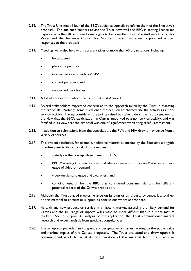- 2.12. The Trust Unit met all four of the BBC's audience councils to inform them of the Executive's proposal. The audience councils advise the Trust how well the BBC is serving licence fee payers across the UK and have formal rights to be consulted. Both the Audience Council for Wales and the Audience Council for Northern Ireland subsequently provided written responses to the proposals.
- 2.13. Meetings were also held with representatives of more than 60 organisations, including:
	- broadcasters;
	- platform operators;
	- internet service providers ("ISPs");
	- content providers; and
	- various industry bodies.
- 2.14. A list of entities with whom the Trust met is at Annex 1.
- 2.15. Several stakeholders expressed concern as to the approach taken by the Trust in assessing the proposals. Notably, some questioned the decision to characterise the activity as a nonservice activity. Having considered the points raised by stakeholders, the Trust remained of the view that the BBC's participation in Canvas amounted to a non-service activity, and was fortified in its view that the proposal was one of significance warranting careful assessment.
- 2.16. In addition to submissions from the consultation, the PVA and MIA drew on evidence from a variety of sources.
- 2.17. This evidence included, for example, additional material submitted by the Executive alongside or subsequent to its proposal. This comprised:
	- a study on the concept development of IPTV;
	- BBC Marketing Communications & Audiences research on Virgin Media subscribers' usage of video-on-demand;
	- video-on-demand usage and awareness; and
	- conjoint research for the BBC that considered consumer demand for different potential aspects of the Canvas proposition.
- 2.18. Although the Trust placed greater reliance on its own or third party evidence, it also drew on this material to confirm or support its conclusions where appropriate.
- 2.19. As with any new product or service in a nascent market, assessing the likely demand for Canvas and the full range of impacts will always be more difficult than in a more mature market. So, to support its analysis of the application, the Trust commissioned market research and expert analysis from specialist consultancies.
- 2.20. These reports provided an independent perspective on issues relating to the public value and market impact of the Canvas proposals. The Trust evaluated and drew upon this commissioned work to assist its consideration of the material from the Executive,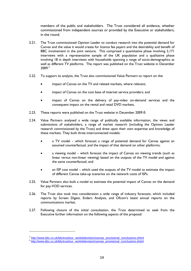<span id="page-17-0"></span>members of the public and stakeholders. The Trust considered all evidence, whether commissioned from independent sources or provided by the Executive or stakeholders, in the round.

- 2.21. The Trust commissioned Opinion Leader to conduct research into the potential demand for Canvas and the value it would create for licence fee payers and the desirability and benefit of BBC involvement in the joint venture. This comprised a quantitative phase involving 2,171 interviews with a representative sample of the UK population and a qualitative phase involving 18 in depth interviews with households spanning a range of socio-demographics as well as different TV platforms. The report was published on the Trust website in December 2009.[5](#page-17-0)
- 2.22. To support its analysis, the Trust also commissioned Value Partners to report on the:
	- impact of Canvas on the TV and related markets, where relevant;
	- impact of Canvas on the cost base of internet service providers; and
	- impact of Canvas on the delivery of pay-video on-demand services and the consequent impact on the rental and retail DVD markets.
- 2.23. These reports were published on the Trust website in December 2009.[6](#page-17-0)
- 2.24. Value Partners analysed a wide range of publically available information, the views and submissions of stakeholders, a range of market research (including the Opinion Leader research commissioned by the Trust) and drew upon their own expertise and knowledge of these markets. They built three interconnected models:
	- a TV model which forecast a range of potential demand for Canvas against an assumed counterfactual, and the impact of that demand on other platforms;
	- a viewing model which forecast the impact of Canvas on viewing trends (such as linear versus non-linear viewing) based on the outputs of the TV model and against the same counterfactual; and
	- an ISP cost model which used the outputs of the TV model to estimate the impact of different Canvas take-up scenarios on the network costs of ISPs.
- 2.25. Value Partners also built a model to estimate the potential impact of Canvas on the demand for pay-VOD services.
- 2.26. The Trust also took into consideration a wide range of industry forecasts, which included reports by Screen Digest, Enders Analysis, and Ofcom's latest annual reports on the communications market.
- 2.27. Following closure of the initial consultation, the Trust determined to seek from the Executive further information on the following aspects of the proposal:

 $\overline{a}$ 

<sup>&</sup>lt;sup>5</sup> [http://www.bbc.co.uk/bbctrust/our\\_work/television/canvas\\_provisional\\_conclusions.shtml](http://www.bbc.co.uk/bbctrust/our_work/television/canvas_provisional_conclusions.shtml) 6 http://www.bbc.co.uk/bbctrust/our\_work/television/canvas\_provisional\_conclusions.shtml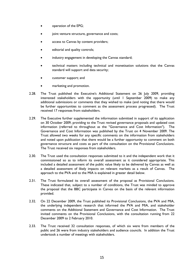- operation of the EPG;
- joint venture structure, governance and costs;
- access to Canvas by content providers;
- editorial and quality controls;
- industry engagement in developing the Canvas standard;
- technical matters including technical and monetisation solutions that the Canvas standard will support and data security;
- customer support; and
- marketing and promotion.
- 2.28. The Trust published the Executive's Additional Statement on 26 July 2009, providing interested stakeholders with the opportunity (until 1 September 2009) to make any additional submissions or comments that they wished to make (and noting that there would be further opportunities to comment as the assessment process progressed). The Trust received 17 responses from stakeholders.
- 2.29. The Executive further supplemented the information submitted in support of its application on 30 October 2009, providing to the Trust revised governance proposals and updated cost information (referred to throughout as the "Governance and Cost Information"). The Governance and Cost Information was published by the Trust on 4 November 2009. The Trust allowed two weeks for any specific comments on the information from stakeholders and noted upon publication that there would be a further opportunity to comment on both governance structure and costs as part of the consultation on the Provisional Conclusions. The Trust received six responses from stakeholders.
- 2.30. The Trust used the consultation responses submitted to it and the independent work that it commissioned so as to inform its overall assessment as it considered appropriate. This included a detailed assessment of the public value likely to be delivered by Canvas as well as a detailed assessment of likely impacts on relevant markets as a result of Canvas. The approach to the PVA and to the MIA is explained in greater detail below.
- 2.31. The Trust formulated its overall assessment of the proposal as Provisional Conclusions. These indicated that, subject to a number of conditions, the Trust was minded to approve the proposal that the BBC participate in Canvas on the basis of the relevant information provided.
- 2.32. On 22 December 2009, the Trust published its Provisional Conclusions, the PVA and MIA, the underlying independent research that informed the PVA and MIA, and stakeholder comments on the Additional Statement and Governance and Cost Information. The Trust invited comments on the Provisional Conclusions, with the consultation running from 22 December 2009 to 2 February 2010.
- 2.33. The Trust received 32 consultation responses, of which six were from members of the public and 26 were from industry stakeholders and audience councils. In addition the Trust undertook a number of meetings with stakeholders.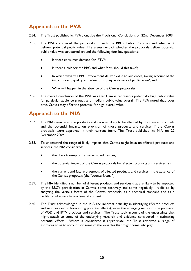#### <span id="page-19-0"></span>**Approach to the PVA**

- 2.34. The Trust published its PVA alongside the Provisional Conclusions on 22nd December 2009.
- 2.35. The PVA considered the proposal's fit with the BBC's Public Purposes and whether it delivers potential public value. The assessment of whether the proposals deliver potential public value was structured around the following four key questions:
	- Is there consumer demand for IPTV?;
	- Is there a role for the BBC and what form should this take?;
	- In which ways will BBC involvement deliver value to audiences, taking account of the impact, reach, quality and value for money as drivers of public value?; and
	- What will happen in the absence of the Canvas proposals?
- 2.36. The overall conclusion of the PVA was that Canvas represents potentially high public value for particular audience groups and medium public value overall. The PVA noted that, over time, Canvas may offer the potential for high overall value.

#### **Approach to the MIA**

- 2.37. The MIA considered the products and services likely to be affected by the Canvas proposals and the potential impacts on provision of those products and services if the Canvas proposals were approved in their current form. The Trust published its MIA on 22 December 2009.
- 2.38. To understand the range of likely impacts that Canvas might have on affected products and services, the MIA considered:
	- the likely take-up of Canvas-enabled devices;
	- the potential impact of the Canvas proposals for affected products and services; and
	- the current and future prospects of affected products and services in the absence of the Canvas proposals (the "counterfactual").
- 2.39. The MIA identified a number of different products and services that are likely to be impacted by the BBC's participation in Canvas, some positively and some negatively. It did so by analysing the various facets of the Canvas proposals, as a technical standard and as a facilitator of access to on-demand content.
- 2.40. The Trust acknowledged in the MIA the inherent difficulty in identifying affected products and services (and in forecasting potential effects), given the emerging nature of the provision of VOD and IPTV products and services. The Trust took account of the uncertainty that might attach to some of the underlying research and evidence considered in estimating potential effects. Where it considered it appropriate, the Trust reviewed a range of estimates so as to account for some of the variables that might come into play.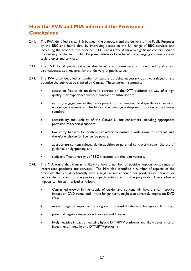#### <span id="page-20-0"></span>**How the PVA and MIA informed the Provisional Conclusions**

- 2.41. The PVA identified a clear link between the proposals and the delivery of the Public Purposes by the BBC and found that, by improving access to the full range of BBC services and increasing the scope of the offer on DTT, Canvas would make a significant contribution to the delivery of the sixth Public Purpose: delivery of the benefit of emerging communications technologies and services.
- 2.42. The PVA found public value in the benefits to consumers and identified quality and distinctiveness as a key area for the delivery of public value.
- 2.43. The PVA also identified a number of factors as being necessary both to safeguard and optimise the public value created by Canvas. These were, in summary:
	- access to free-to-air on-demand content on the DTT platform by way of a high quality user experience without contract or subscription;
	- industry engagement in the development of the core technical specification so as to encourage openness and flexibility and encourage widespread adoption of the Canvas standard;
	- accessibility and usability of the Canvas UI for consumers, including appropriate provision of technical support;
	- low entry barriers for content providers to ensure a wide range of content and, therefore, choice for licence fee payers;
	- appropriate content safeguards (in addition to parental controls) through the use of guidance or signposting; and
	- sufficient Trust oversight of BBC investment in the joint venture.
- 2.44. The MIA found that Canvas is likely to have a number of positive impacts on a range of interrelated products and services. The MIA also identified a number of aspects of the proposals that could potentially have a negative impact on other products or services or reduce the potential for the positive impacts anticipated for the proposals. These adverse impacts can be summarised as follows:
	- Canvas-led growth in the supply of on-demand content will have a small negative impact on DVD rental and, in the longer term, might also adversely impact on DVD retail;
	- modest negative impact on future growth of non-DTT-based subscription platforms;
	- potential negative impacts on Freeview and Freesat;
	- likely negative impact on existing hybrid DTT/IPTV platforms and likely deterrence of investment in new hybrid DTT/IPTV platforms;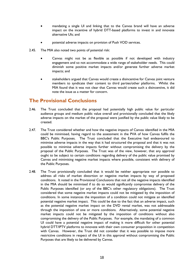- <span id="page-21-0"></span>• mandating a single UI and linking that to the Canvas brand will have an adverse impact on the incentive of hybrid DTT-based platforms to invest in and innovate alternative UIs; and
- potential adverse impacts on provision of Push VOD services.
- 2.45. The MIA also noted two points of potential risk:
	- Canvas might not be as flexible as possible if not developed with industry engagement and so not accommodate a wide range of stakeholder needs. This could diminish some positive market impacts and/or generate further adverse market impacts; and
	- stakeholders argued that Canvas would create a disincentive for Canvas joint venture members to syndicate their content to third parties/other platforms. Whilst the MIA found that it was not clear that Canvas would create such a disincentive, it did note the issue as a matter for concern.

#### **The Provisional Conclusions**

- 2.46. The Trust concluded that the proposal had potentially high public value for particular audience groups and medium public value overall and provisionally concluded that the likely adverse impacts on the market of the proposal were justified by the public value likely to be created.
- 2.47. The Trust considered whether and how the negative impacts of Canvas identified in the MIA could be minimised, having regard to the assessment in the PVA of how Canvas fulfils the BBC's Public Purposes. The Trust concluded that the Executive had endeavoured to minimise adverse impacts in the way that it had structured the proposal and that it was not possible to minimise adverse impacts further without compromising the delivery by the proposal of the Public Purposes. The Trust was of the view, however, that any approval ought to be subject to certain conditions regarding delivery of the public value promised by Canvas and minimising negative market impacts where possible, consistent with delivery of the Public Purposes.
- 2.48. The Trust provisionally concluded that it would be neither appropriate nor possible to address all risks of market distortion or negative market impacts by way of proposed conditions. It noted in the Provisional Conclusions that not all the negative impacts identified in the MIA should be minimised if to do so would significantly compromise delivery of the Public Purposes identified (or any of the BBC's other regulatory obligations). The Trust considered that some negative market impacts could not be mitigated by the imposition of conditions. In some instances the imposition of a condition could not mitigate an identified potential negative market impact. This could be due to the fact that an adverse impact, such as the potential negative market impact on the DVD rental market, was not addressable through the imposition of one or more conditions. Alternatively, some potential negative market impacts could not be mitigated by the imposition of conditions without also compromising the delivery of the Public Purposes. For example, the mandating of a common UI could have a potential negative impact of making it more difficult for other potential hybrid DTT/IPTV platforms to innovate with their own consumer proposition in competition with Canvas. However, the Trust did not consider that it was possible to impose more restrictive conditions in respect of the UI in this approval without compromising the Public Purposes that are likely to be delivered by Canvas.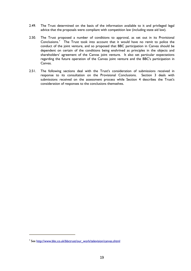- <span id="page-22-0"></span>2.49. The Trust determined on the basis of the information available to it and privileged legal advice that the proposals were compliant with competition law (including state aid law).
- 2.50. The Trust proposed a number of conditions to approval, as set out in its Provisional Conclusions.<sup>[7](#page-22-0)</sup> The Trust took into account that it would have no remit to police the conduct of the joint venture, and so proposed that BBC participation in Canvas should be dependent on certain of the conditions being enshrined as principles in the objects and shareholders' agreement of the Canvas joint venture. It also set particular expectations regarding the future operation of the Canvas joint venture and the BBC's participation in Canvas.
- 2.51. The following sections deal with the Trust's consideration of submissions received in response to its consultation on the Provisional Conclusions. Section 3 deals with submissions received on the assessment process while Section 4 describes the Trust's consideration of responses to the conclusions themselves.

i.

<sup>&</sup>lt;sup>7</sup> See [http://www.bbc.co.uk/bbctrust/our\\_work/television/canvas.shtml](http://www.bbc.co.uk/bbctrust/our_work/television/canvas.shtml)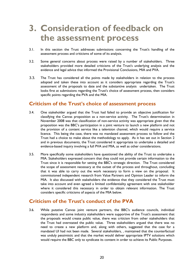### <span id="page-23-0"></span>**3. Consideration of feedback on the assessment process**

- 3.1. In this section the Trust addresses submissions concerning the Trust's handling of the assessment process and criticisms of some of its analysis.
- 3.2. Some general concerns about process were raised by a number of stakeholders. Three stakeholders provided more detailed criticisms of the Trust's underlying analysis and the evidence and legal advice that informed the Provisional Conclusions, MIA and PVA.
- 3.3. The Trust has considered all the points made by stakeholders in relation to the process adopted and taken these into account as it considers appropriate regarding the Trust's assessment of the proposals to date and the substantive analysis undertaken. The Trust looks first at submissions regarding the Trust's choice of assessment process, then considers specific points regarding the PVA and the MIA.

#### **Criticism of the Trust's choice of assessment process**

- 3.4. One stakeholder argued that the Trust had failed to provide an objective justification for classifying the Canvas proposition as a non-service activity. The Trust's determination in November 2008 was that classification of non-service activity was appropriate given that the proposition was the BBC's participation in a joint venture to launch a new platform and not the provision of a content service like a television channel, which would require a service licence. This being the case, there was no mandated assessment process to follow and the Trust had a choice to make about the methodology to apply. As it has set out in Section 2 and in previous documents, the Trust considered it appropriate to undertake a detailed and evidence-based inquiry involving a full PVA and MIA, as well as other considerations.
- 3.5. More specifically some stakeholders have questioned the ability of the Trust to undertake a MIA. Stakeholders expressed concern that they could not provide certain information to the Trust since it is responsible for setting the BBC's strategic direction. The Trust considered the scope of assessment necessary at the outset of the process and throughout, concluding that it was able to carry out the work necessary to form a view on the proposal. It commissioned independent research from Value Partners and Opinion Leader to inform the MIA. It also discussed with stakeholders the evidence that they considered the Trust must take into account and even agreed a limited confidentiality agreement with one stakeholder where it considered this necessary in order to obtain relevant information. The Trust considers specific criticisms of aspects of the MIA below.

#### **Criticism of the Trust's conduct of the PVA**

3.6. While putative Canvas joint venture partners, the BBC's audience councils, individual respondents and some industry stakeholders were supportive of the Trust's assessment that the proposals would create public value, there was criticism from other stakeholders that the Trust had overstated the public value. Three stakeholders argued that there was no need to create a new platform and, along with others, suggested that the case for a mandated UI had not been made. Several stakeholders, , maintained that the counterfactual was unduly pessimistic and that the market would deliver appropriate IPTV solutions which would require the BBC only to syndicate its content in order to achieve its Public Purposes.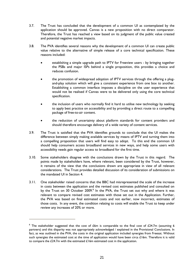- <span id="page-24-0"></span>3.7. The Trust has concluded that the development of a common UI as contemplated by the application should be approved. Canvas is a new proposition with no direct comparator. Therefore, the Trust has reached a view based on its judgment of the public value created and potential negative market impacts.
- 3.8. The PVA identifies several reasons why the development of a common UI can create public value relative to the alternative of simple release of a core technical specification. These reasons included:
	- establishing a simple upgrade path to IPTV for Freeview users by bringing together the PSBs and major ISPs behind a single proposition, this provides a choice and reduces confusion.
	- the promotion of widespread adoption of IPTV services through the offering a plugand-play solution which will give a consistent experience from one box to another. Establishing a common interface imposes a discipline on the user experience that would not be realised if Canvas were to be delivered only using the core technical specification.
	- the inclusion of users who normally find it hard to utilise new technology by seeking to apply best practice on accessibility and by providing a direct route to a compelling package of free-to-air content.
	- the reduction of uncertainty about platform standards for content providers and should therefore encourage delivery of a wide variety of content services.
- 3.9. The Trust is satisfied that the PVA identifies grounds to conclude that the UI makes the difference between simply making available services by means of IPTV and turning them into a compelling proposition that users will find easy to adopt. To this end the common UI should help consumers access broadband services in new ways, and help some users with accessibility needs gain regular access to broadband for the first time.
- 3.10. Some stakeholders disagree with the conclusions drawn by the Trust in this regard. The points made by stakeholders have, where relevant, been considered by the Trust, however, it remains of the view that the conclusions drawn are appropriate in view of all relevant considerations. The Trust provides detailed discussion of its consideration of submissions on the mandated UI in Section 4.
- 3.11. One stakeholder raised concerns that the BBC had misrepresented the scale of the increase in costs between the application and the revised cost estimates published and consulted on by the Trust on 30 October 2009.<sup>[8](#page-24-0)</sup> In the PVA, the Trust set out why and where it was relevant to compare revised cost estimates with those set out in the Application. Further, the PVA was based on final estimated costs and not earlier, now incorrect, estimates of those costs. In any event, the condition relating to costs will enable the Trust to keep under review any increases of 20% or more.

i.

<sup>&</sup>lt;sup>8</sup> The stakeholder suggested that the cost of  $£6m$  is comparable to the final cost of  $£24.7m$  (assuming 6 partners) and this disparity was not appropriately acknowledged / explained in the Provisional Conclusions. In fact, as was outlined in the PVA, the costs in the original application included synergies from Freesat. Without such synergies the estimated cost at the time of application would have been circa  $\pounds$ 16m. Therefore it is valid to compare the  $£24.7m$  with the estimated  $£16m$  estimated cost in the application.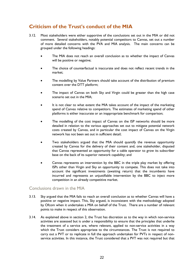#### <span id="page-25-0"></span>**Criticism of the Trust's conduct of the MIA**

- 3.12. Most stakeholders were either supportive of the conclusions set out in the MIA or did not comment. Several stakeholders, notably potential competitors to Canvas, set out a number of more detailed concerns with the PVA and MIA analysis. The main concerns can be grouped under the following headings:
	- The MIA does not reach an overall conclusion as to whether the impact of Canvas will be positive or negative;
	- The choice of counterfactual is inaccurate and does not reflect recent trends in the market;
	- The modelling by Value Partners should take account of the distribution of premium content over the DTT platform;
	- The impact of Canvas on both Sky and Virgin could be greater than the high case scenario set out in the MIA;
	- It is not clear to what extent the MIA takes account of the impact of the marketing spend of Canvas relative to competitors. The estimates of marketing spend of other platforms is either inaccurate or an inappropriate benchmark for comparison;
	- The modelling of the cost impact of Canvas on the ISP networks should be more detailed in relation to the various approaches set out to mitigate potential network costs created by Canvas, and in particular the cost impact of Canvas on the Virgin network has not been set out in sufficient detail;
	- Two stakeholders argued that the MIA should quantify the revenue opportunity created by Canvas for the delivery of their content and, one stakeholder, disputed that Canvas represented an opportunity for a cable operator to grow its subscriber base on the back of its superior network capability; and
	- Canvas represents an intervention by the BBC in the triple play market by offering ISPs other than Virgin and Sky an opportunity to compete. This does not take into account the significant investments (awaiting return) that the incumbents have incurred and represents an unjustifiable intervention by the BBC to inject more competition in an already competitive market.

#### Conclusions drawn in the MIA

- 3.13. Sky argued that the MIA fails to reach an overall conclusion as to whether Canvas will have a positive or negative impact. This, Sky argued, is inconsistent with the methodology adopted by Ofcom when it undertakes a MIA on behalf of the Trust. There are a number of relevant points to make in respect of this observation.
- 3.14. As explained above in section 2, the Trust has discretion as to the way in which non-service activities are assessed but is under a responsibility to ensure that the principles that underlie the treatment of a service are, where relevant, applied to non-service activities in a way which the Trust considers appropriate to the circumstances. The Trust is not required to carry out a PVT or to replicate in full the approach undertaken for PVTs in respect of nonservice activities. In this instance, the Trust considered that a PVT was not required but that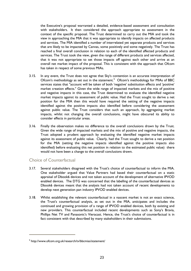<span id="page-26-0"></span>the Executive's proposal warranted a detailed, evidence-based assessment and consultation with stakeholders. It then considered the approach appropriate to assessment in the context of the specific proposal. The Trust determined to carry out the MIA and took the view in approaching the MIA that it was appropriate to identify impacts on affected products and services. The MIA identified a number of interrelated yet separate products and services that are likely to be impacted by Canvas, some positively and some negatively. The Trust has reached a final overall conclusion in relation to each of the identified affected products and services. The Trust took the view, given the range of different products and services affected, that it was not appropriate to set those impacts off against each other and arrive at an overall net market impact of the proposal. This is consistent with the approach that Ofcom has taken in respect of some previous MIAs.

- 3.15. In any event, the Trust does not agree that Sky's contention is an accurate interpretation of Ofcom's methodology as set out in the statement.<sup>[9](#page-26-0)</sup> Ofcom's methodology for MIAs of BBC services states that "account will be taken of both 'negative' substitution effects and 'positive' market creation effects." Given the wide range of impacted markets and the mix of positive and negative impacts in this case, the Trust determined to evaluate the identified negative market impacts against its assessment of public value. Had the Trust sought to derive a net position for the MIA then this would have required the setting of the negative impacts identified against the positive impacts also identified before considering the assessment against public value. The Trust considers that such an approach, by aggregating market impacts, whilst not changing the overall conclusions, might have obscured its ability to consider effects in particular areas.
- 3.16. Finally the observation makes no difference to the overall conclusions drawn by the Trust. Given the wide range of impacted markets and the mix of positive and negative impacts, the Trust adopted a prudent approach by evaluating the identified negative market impacts against its assessment of public value. Clearly, had the Trust sought to derive a net position for the MIA (setting the negative impacts identified against the positive impacts also identified) before evaluating this net position in relation to the estimated public value) there would not have been a change to the overall conclusions drawn.

#### Choice of Counterfactual

i.

- 3.17. Several stakeholders disagreed with the Trust's choice of counterfactual to inform the MIA. One stakeholder argued that Value Partners had based their counterfactual on a static appraisal of Dbook6 devices and not taken account of the development of alternative IPVOD enabled devices. The DTG was concerned that the labelling of the counterfactual devices as Dbook6 devices meant that the analysis had not taken account of recent developments to develop next generation pan industry IPVOD enabled devices.
- 3.18. Whilst establishing the relevant counterfactual in a nascent market is not an exact science, the Trust's counterfactual analysis, as set out in the MIA, anticipates and includes the continued and growing provision of a range of IPVOD enabled devices, both by existing and new providers. This counterfactual included recent developments such as Sony's Bravia, Phillips Net TV and Panasonic's Vieracast. Hence, the Trust's choice of counterfactual is in fact consistent with that described by many stakeholders in their submissions.

<sup>9</sup> http://www.ofcom.org.uk/research/tv/bbcmias/statement/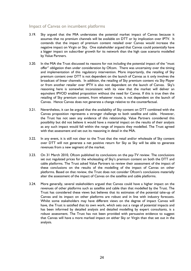#### Impact of Canvas on incumbent platforms

- 3.19. Sky argued that the MIA understates the potential market impact of Canvas because it assumes that no premium channels will be available on DTT or by implication over IPTV. It contends that the impact of premium content retailed over Canvas would increase the negative impact on Virgin or Sky. One stakeholder argued that Canvas could potentially have a bigger impact on subscriber growth for its network than the high case scenario modelled by Value Partners.
- 3.20. In the MIA the Trust discussed its reasons for not including the potential impact of the "must offer" obligation then under consideration by Ofcom. There was uncertainty over the timing and implementation of this regulatory intervention. More importantly, the retailing of Sky premium content over DTT is not dependent on the launch of Canvas as it only involves the broadcast of linear channels. In addition, the retailing of Sky premium content via Sky Player or from another retailer over IPTV is also not dependent on the launch of Canvas. Sky's reasoning here is somewhat inconsistent with its view that the market will deliver an equivalent IPVOD enabled proposition without the need for Canvas. If this is true then the retailing of Sky premium content, from whatever route, is not dependent on the launch of Canvas. Hence Canvas does not generate a change relative to the counterfactual.
- 3.21. Nevertheless, it can be argued that the availability of Sky content on DTT combined with the Canvas proposition represents a stronger challenge to both satellite and cable. However, the Trust has not seen any evidence of this relationship. Value Partners considered this possibility but did not believe it would have a material impact on the results of their analysis as any such impact would fall within the range of impacts they modelled. The Trust agreed with that assessment and set out its reasoning in detail in the MIA.
- 3.22. In any event, it is still not clear to the Trust that the retail and/or wholesale of Sky content over DTT will not generate a net positive return for Sky as Sky will be able to generate revenues from a new segment of the market.
- 3.23. On 31 March 2010, Ofcom published its conclusions on the pay-TV review. The conclusions set out regulated prices for the wholesaling of Sky's premium content on both the DTT and cable platforms. The Trust asked Value Partners to review their assessment of the impact of these conclusions on the results of the modelling of the impact of Canvas on other platforms. Based on that review, the Trust does not consider Ofcom's conclusions materially alter the assessment of the impact of Canvas on the satellite and cable platforms.
- 3.24. More generally, several stakeholders argued that Canvas could have a higher impact on the revenues of other platforms such as satellite and cable than that modelled by the Trust. The Trust has considered these views but believes that its estimates of the potential take-up of Canvas and its impact on other platforms are robust and in line with industry forecasts. Whilst some stakeholders may have different views on the degree of impact Canvas will have, the Trust is satisfied that its own work, which sets out a range of potential impacts and has been informed by detailed analysis and detailed modelling by expert consultants, is a robust assessment. The Trust has not been provided with persuasive evidence to suggest that Canvas will have a more marked impact on either Sky or Virgin than that set out in the analysis.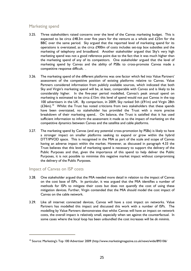#### <span id="page-28-0"></span>Marketing spend

- 3.25. Three stakeholders raised concerns over the level of the Canvas marketing budget. This is expected to be circa  $£48.3m$  over five years for the venture as a whole and  $£25m$  for the BBC over the same period. Sky argued that the reported level of marketing spend for its operations is overstated, as the circa £900m of costs includes set-top box subsidies and the marketing of telephony and broadband. Another stakeholder argued that Sky's very high marketing spend was not a good reference point due to the fact that it was much higher than the marketing spend of any of its competitors. One stakeholder argued that the level of marketing spend by Canvas and the ability of PSBs to cross-promote Canvas made a competitive response difficult. .
- 3.26. The marketing spend of the different platforms was one factor which fed into Value Partners' assessment of the competitive position of existing platforms relative to Canvas. Value Partners considered information from publicly available sources, which indicated that both Sky and Virgin's marketing spend will be, at least, comparable with Canvas and is likely to be considerably higher. In the five-year period modelled, Canvas's peak annual spend on marketing is estimated to be circa  $£15m$ : this level of spend would not put Canvas in the top 100 advertisers in the UK. By comparison, in 2009, Sky ranked 5th (£91m) and Virgin 28th  $(£36m)$ .<sup>[10](#page-28-0)</sup> Whilst the Trust has noted criticisms from two stakeholders that these spends have been overstated, no stakeholder has provided the Trust with a more precise breakdown of their marketing spend.. On balance, the Trust is satisfied that it has used sufficient information to inform the assessment it made as to the impact of marketing on the competitive dynamics between Canvas and the satellite and cable platforms.
- 3.27. The marketing spend by Canvas (and any potential cross-promotion by PSBs) is likely to have a stronger impact on smaller platforms seeking to expand or grow within the hybrid DTT/IPVOD space. This is recognised in the MIA as part of the scale and scope of Canvas having an adverse impact within the market. However, as discussed in paragraph 4.33 the Trust believes that this level of marketing spend is necessary to support the delivery of the Public Purposes and that, given the importance of this spend to help deliver the Public Purposes, it is not possible to minimise this negative market impact without compromising the delivery of the Public Purposes.

#### Impact of Canvas on ISP costs

i.

- 3.28. One stakeholder argued that the MIA needed more detail in relation to the impact of Canvas on the cost base of ISPs. In particular, it was argued that the MIA identifies a number of methods for ISPs to mitigate their costs but does not quantify the cost of using these mitigation devices. Further, Virgin contended that the MIA should model the cost impact of Canvas on the cable network.
- 3.29. Like all internet connected devices, Canvas will have a cost impact on networks. Value Partners has modelled this impact and discussed this work with a number of ISPs. The modelling by Value Partners demonstrates that whilst Canvas will have an impact on network costs, the overall impact is relatively small, especially when set against the counterfactual. In some cases where the local loop has been unbundled the cost increases will be *de minimis*.

<sup>&</sup>lt;sup>10</sup> Source: Marketing's Top 100 Advertiser 2009 (http://www.marketingmagazine.co.uk/news/wide/893106/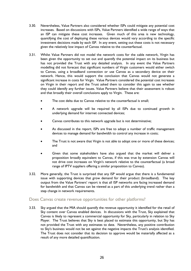- 3.30. Nevertheless, Value Partners also considered whether ISPs could mitigate any potential cost increases. Based on discussions with ISPs, Value Partners identified a wide range of ways that an ISP can mitigate these cost increases. Given much of this area is new technology, quantifying the cost of deploying these various devices would vary according to the specific investment decisions made by each ISP. In any event, setting out these costs is not necessary given the relatively low impact of Canvas relative to the counterfactual.
- 3.31. Whilst Value Partners did not model the network costs for the cable network, Virgin has been given the opportunity to set out and quantify the potential impact on its business but has not provided the Trust with any detailed analysis. In any event the Value Partners modelling did not forecast that significant numbers of Virgin customers would either switch to Canvas, using a broadband connection or use Canvas as a secondary device on their network. Hence, this would support the conclusion that Canvas would not generate a significant increase in costs for Virgin. Value Partners considered the potential cost increases on Virgin in their report and the Trust asked them to consider this again to see whether they could identify any further issues. Value Partners believe that their assessment is robust and that broadly their overall conclusions apply to Virgin. These are:
	- The cost delta due to Canvas relative to the counterfactual is small;
	- A network upgrade will be required by all ISPs due to continued growth in underlying demand for internet connected devices;
	- Canvas contributes to this network upgrade but is not determinative;
	- As discussed in the report, ISPs are free to adopt a number of traffic management devices to manage demand for bandwidth to control any increase in costs;
	- The Trust is not aware that Virgin is not able to adopt one or more of these devices; and
	- Given that some stakeholders have also argued that the market will deliver a proposition broadly equivalent to Canvas, if this was true by extension Canvas will not drive cost increases on Virgin's network relative to the counterfactual (a broad range of IPTV suppliers offering a similar proposition to Canvas).
- 3.32. More generally, the Trust is surprised that any ISP would argue that there is a fundamental issue with supporting devices that grow demand for their product (broadband). The key output from the Value Partners' report is that all ISP networks are facing increased demand for bandwidth and that Canvas can be viewed as a part of this underlying trend rather than a step change in network requirements.

#### Does Canvas create revenue opportunities for other platforms?

3.33. Sky argued that the MIA should quantify the revenue opportunity it identified for the retail of Sky content over Canvas enabled devices. In discussions with the Trust, Sky explained that Canvas is likely to represent a commercial opportunity for Sky, particularly in relation to Sky Player. The Trust believes that Sky is best placed to estimate this opportunity, but Sky has not provided the Trust with any estimates to date. Nevertheless, any positive contribution to Sky's business would not be set against the negative impacts the Trust's analysis identified. The Trust does not consider that its decision to approve would be materially affected as a result of any more detailed quantification.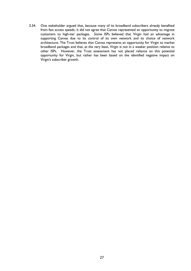3.34. One stakeholder argued that, because many of its broadband subscribers already benefited from fast access speeds, it did not agree that Canvas represented an opportunity to migrate customers to high-tier packages. Some ISPs believed that Virgin had an advantage in supporting Canvas due to its control of its own network and its choice of network architecture. The Trust believes that Canvas represents an opportunity for Virgin to market broadband packages and that, at the very least, Virgin is not in a weaker position relative to other ISPs. However, the Trust assessment has not placed reliance on this potential opportunity for Virgin, but rather has been based on the identified negative impact on Virgin's subscriber growth.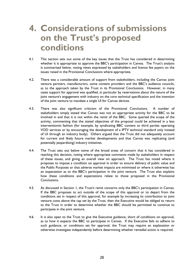### <span id="page-31-0"></span>**4. Considerations of submissions on the Trust's proposed conditions**

- 4.1. This section sets out some of the key issues that the Trust has considered in determining whether it is appropriate to approve the BBC's participation in Canvas. The Trust's analysis is summarised below, noting views expressed by stakeholders and licence fee payers on the issues raised in the Provisional Conclusions where appropriate.
- 4.2. There was a considerable amount of support from stakeholders, including the Canvas joint venture partners, manufacturers, some content providers and the BBC's audience councils, as to the approach taken by the Trust in its Provisional Conclusions. However, in many cases support for approval was qualified, in particular by reservations about the nature of the joint venture's engagement with industry on the core technical specification and the intention of the joint venture to mandate a single UI for Canvas devices.
- 4.3. There was also significant criticism of the Provisional Conclusions. A number of stakeholders simply stated that Canvas was not an appropriate activity for the BBC to be involved in and that it is not within the remit of the BBC. Some queried the scope of the activity, commenting that the stated objectives of the proposal could be achieved in a less interventionist fashion (for example, by syndicating BBC content to third parties operating VOD services or by encouraging the development of a IPTV technical standard only instead of UI through an industry body). Others argued that the Trust did not adequately account for current and likely future market developments and that Canvas was replicating (and potentially jeopardising) industry initiatives.
- 4.4. The Trust sets out below some of the broad areas of concern that it has considered in reaching this decision, noting where appropriate comments made by stakeholders in respect of these issues, and giving an overall view on approach. The Trust has noted where it proposes to impose a condition on approval in order to ensure delivery of public value and the Public Purposes or that adverse market impacts are minimised or where it otherwise has an expectation as to the BBC's participation in the joint venture. The Trust also explains how these conditions and expectations relate to those proposed in the Provisional Conclusions.
- 4.5. As discussed in Section 1, the Trust's remit concerns only the BBC's participation in Canvas. If the BBC proposes to act outside of the scope of this approval or to depart from the conditions set in respect of this approval, for example by increasing its contribution to joint venture costs above the cap set by the Trust, then the Executive would be obliged to return to the Trust in order to determine whether the BBC should be permitted to continue to participate in the joint venture.
- 4.6. It is also open to the Trust to give the Executive guidance, short of conditions on approval, as to how it expects the BBC to participate in Canvas. If the Executive fails to adhere to such guidance, or conditions set for approval, the Trust may require an explanation or otherwise investigate independently before determining whether remedial action is required.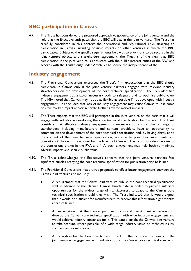#### <span id="page-32-0"></span>**BBC participation in Canvas**

4.7. The Trust has considered the proposed approach to governance of the joint venture and the role that the Executive anticipates that the BBC will play in the joint venture. The Trust has carefully considered in this context the operational and reputational risks attaching to participation in Canvas, including possible impacts on other ventures in which the BBC participates. Subject to the specific requirements below as to provisions to be secured in the joint venture objects and shareholders' agreement, the Trust is of the view that BBC participation in the joint venture is consistent with the public interest duties of the BBC and accords with the Trust's duty under Article 23 to secure the independence of the BBC.

#### **Industry engagement**

- 4.8. The Provisional Conclusions expressed the Trust's firm expectation that the BBC should participate in Canvas only if the joint venture partners engaged with relevant industry stakeholders on the development of the core technical specification. The PVA identified industry engagement as a factor necessary both to safeguard and to optimise public value. The MIA noted that Canvas may not be as flexible as possible if not developed with industry engagement. It concluded that lack of industry engagement may cause Canvas to lose some positive market impact and/or generate further adverse market impacts.
- 4.9. The Trust expects that the BBC will participate in the joint venture on the basis that it will engage with industry in developing the core technical specification for Canvas. The Trust considers that effective industry engagement is necessary to ensure that a range of stakeholders, including manufacturers and content providers, have an opportunity to comment on the development of the core technical specification and, by having clarity as to the content of the core technical specification, are able to plan their investments and operations if they wish to account for the launch of Canvas. The Trust considers, in view of the conclusions drawn in the PVA and MIA, such engagement may help both to minimise adverse impacts and secure public value.
- 4.10. The Trust acknowledged the Executive's concern that the joint venture partners face significant hurdles readying the core technical specification for publication prior to launch.
- 4.11. The Provisional Conclusions made three proposals to effect better engagement between the Canvas joint venture and industry:
	- A requirement that the Canvas joint venture publish the core technical specification well in advance of the planned Canvas launch date in order to provide sufficient opportunities for the widest range of manufacturers to adapt to the Canvas core technical specification should they wish. The Trust indicated that it would expect that it would be sufficient for manufacturers to receive this information eight months ahead of launch.
	- An expectation that the Canvas joint venture would use its best endeavours to develop the Canvas core technical specification with wide industry engagement and would achieve industry consensus for it. This would enable the Canvas joint venture to take account, where possible, of a wide range industry views on technical issues, such as conditional access.
	- An obligation for the Executive to report back to the Trust on the results of the joint venture's engagement with industry about the Canvas core technical standards.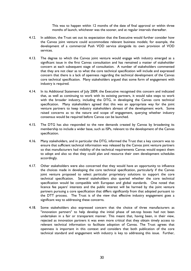This was to happen within 12 months of the date of final approval or within three months of launch, whichever was the sooner, and at regular intervals thereafter.

- 4.12. In addition, the Trust set out its expectation that the Executive would further consider how the Canvas joint venture could accommodate relevant business models; for example, the development of a commercial Push VOD service alongside its own provision of VOD services.
- 4.13. The degree to which the Canvas joint venture would engage with industry emerged as a significant issue in the first Canvas consultation and has remained a matter of stakeholder concern at each subsequent stage of consultation. A number of stakeholders commented that they are not clear as to what the core technical specification will include and expressed concern that there is a lack of openness regarding the technical development of the Canvas core technical specification. Many stakeholders argued that some form of engagement with industry is required.
- 4.14. In its Additional Statement of July 2009, the Executive recognised this concern and indicated that, as well as continuing to work with its existing partners, it would take steps to work with the broader industry, including the DTG, in developing the Canvas core technical specification. Many stakeholders agreed that this was an appropriate way for the joint venture partners to keep industry stakeholders abreast of the development work. Some raised concerns as to the nature and scope of engagement, querying whether industry consensus would be required before Canvas can be launched.
- 4.15. The DTG has also responded to the new demands created by Canvas by broadening its membership to include a wider base, such as ISPs, relevant to the development of the Canvas specification.
- 4.16. Many stakeholders, and in particular the DTG, informed the Trust that a key concern was to ensure that sufficient technical information was released by the Canvas joint venture partners so that manufacturers had visibility of the technical requirements Canvas would expect them to adopt and also so that they could plan and resource their own development schedules accordingly.
- 4.17. Other stakeholders were also concerned that they would have an opportunity to influence the choices made in developing the core technical specification, particularly if the Canvas joint venture proposed to select particular proprietary solutions to support the core technical specification. Several stakeholders also queried whether the core technical specification would be compatible with European and global standards. One noted that licence fee payers' interests and the public interest will be harmed by the joint venture partners pursuing a core specification that differs significantly from that adopted pursuant to the DTT process. The Trust is of the view that effective industry engagement goes a significant way to addressing these concerns.
- 4.18. Some stakeholders also expressed concern that the choice of three manufacturers as "innovation partners" to help develop the initial phase of set-top boxes had not been undertaken in a fair or transparent manner. This meant that, having been, in their view, rejected as innovation partners it was even more critical that they obtain timely access to relevant technical information to facilitate adoption of Canvas. The Trust agrees that openness is important in this context and considers that both publication of the core technical standard and engagement with industry is key to addressing this issue. Further,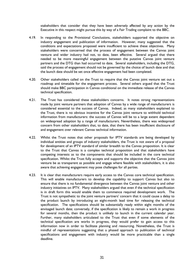stakeholders that consider that they have been adversely affected by any action by the Executive in this respect might pursue this by way of a Fair Trading complaint to the BBC.

- 4.19. In responding to the Provisional Conclusions, stakeholders supported the objective on industry engagement and publication of information. However, many suggested that the conditions and expectations proposed were insufficient to achieve these objectives. Many stakeholders were concerned that the process of engagement between the Canvas joint venture and wider industry had not, to date, been effective. Several argued that there needed to be more meaningful engagement between the putative Canvas joint venture partners and the DTG than had occurred to date. Several stakeholders, including the DTG, said the process of engagement should not be governed by the choice of launch date and that the launch date should be set once effective engagement had been completed.
- 4.20. Other stakeholders called on the Trust to require that the Canvas joint venture set out a roadmap and timetable for the engagement process. Several others argued that the Trust should make BBC participation in Canvas conditional on the immediate release of the Canvas technical specification.
- 4.21. The Trust has considered these stakeholders concerns. It notes strong representations made by joint venture partners that adoption of Canvas by a wide range of manufacturers is considered essential to the success of Canvas. Indeed, as many stakeholders explained to the Trust, there is no obvious incentive for the Canvas joint venture to withhold technical information from manufacturers: the success of Canvas will be to a large extent dependent on widespread adoption by a range of manufacturers. Nevertheless, there was widespread concern from other stakeholders that, to date, that there has been insufficient disclosure of and engagement over relevant Canvas technical information.
- 4.22. Whilst the Trust notes that other proposals for IPTV standards are being developed by individual entities and groups of industry stakeholders, the Trust is not aware of a proposal for development of an IPTV standard of similar breadth to the Canvas proposition. It is clear to the Trust that Canvas is a complex technical proposition and that stakeholders have competing interests as to the components that should be included in the core technical specification. Whilst the Trust fully accepts and supports the objective that the Canvas joint venture be as transparent as possible and engage where feasible with stakeholders, it is also aware that achieving engagement may pose challenges for all parties.
- 4.23. It is clear that manufacturers require early access to the Canvas core technical specification. This will enable manufacturers to develop the capability to support Canvas but also to ensure that there is no fundamental divergence between the Canvas joint venture and other industry initiatives on IPTV. Many stakeholders argued that even if the technical specification is in draft form this would enable them to commence required development work. The Trust is not sympathetic to the joint venture partners' concern that it could cause a delay to the product launch by introducing an eight-month lead time for releasing the technical specification. The specifications should be substantially ready within eight months of the envisaged launch date; conversely, if the specification is likely to remain a work in progress for several months, then the product is unlikely to launch in the current calendar year. Further, many stakeholders articulated to the Trust that even if some elements of the technical specification are works in progress, they would prefer to gain access to this information now in order to facilitate planning and resourcing. Nonetheless, the Trust is mindful of representations suggesting that a phased approach to publication of technical specifications and engagement with industry would be more practicable than a single deadline.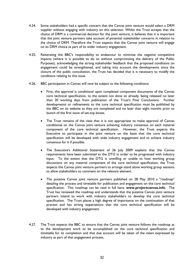- 4.24. Some stakeholders had a specific concern that the Canvas joint venture would select a DRM supplier without engaging with industry on this selection. Whilst the Trust accepts that the choice of DRM is a commercial decision for the joint venture, it believes that it is important that the joint venture partners take account of potential stakeholder concerns in relation to the choice of DRM. Therefore the Trust expects that the Canvas joint venture will engage on its DRM choice as part of its wider industry engagement.
- 4.25. Reiterating the BBC's responsibility to endeavour to minimise the negative competitive impacts (where it is possible to do so without compromising the delivery of the Public Purposes), acknowledging the strong stakeholder feedback that the proposed conditions on engagement could be strengthened, and taking into account the developments since the closure of the public consultation, the Trust has decided that it is necessary to modify the conditions relating to this issue.
- 4.26. BBC participation in Canvas will now be subject to the following conditions:
	- First, this approval is conditional upon completed component documents of the Canvas core technical specification, to the extent not done so already, being released no later than 20 working days from publication of the Trust's Final Conclusions. Further developments or refinements to the core technical specification must be published by the BBC on its website as they are completed and no later than eight months prior to launch of the first wave of set-top boxes.
	- The Trust remains of the view that it is not appropriate to make approval of Canvas conditional on the Canvas joint venture achieving industry consensus on each material component of the core technical specification. However, the Trust expects the Executive to participate in the joint venture on the basis that the core technical specification will be developed with wide industry engagement and to achieve industry consensus for it if possible.
	- The Executive's Additional Statement of 26 July 2009 explains that the Canvas requirements have been submitted to the DTG in order to be progressed with industry input. To the extent that the DTG is unwilling or unable to host working group discussions on any material component of the core technical specification, the Trust expects the Canvas joint venture partners to arrange stand alone working group sessions to allow stakeholders to comment on the relevant element.
	- The putative Canvas joint venture partners published on 28 May 2010 a "roadmap" detailing the process and timetable for publication and engagement on the core technical specification. This roadmap can be read in full here: **www.projectcanvas.info**. The Trust has reviewed the roadmap and understands that the putative Canvas joint venture partners intend to work with industry stakeholders to develop the core technical specification. The Trust places a high degree of importance on the continuation of that process and has strong expectations that the core technical specification will be developed with industry engagement.
- 4.27. The Trust expects the BBC to ensure that the Canvas joint venture follows the roadmap as to the development work to be accomplished on the core technical specification and timetable for its completion and that due account will be taken of the views expressed by industry as part of that engagement process.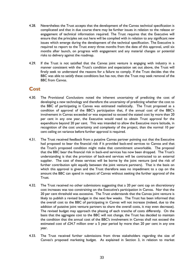- <span id="page-36-0"></span>4.28. Nevertheless the Trust accepts that the development of the Canvas technical specification is complicated and that in due course there may be further issues in relation to the release or engagement of technical information required. The Trust requires that the Executive will ensure that the principles set out here will be complied with in relation to any significant new issues which emerge during the development of the technical specification. The Executive is required to report to the Trust every three months from the date of this approval, until six months after launch, on progress with engagement and any material changes or potential risks to delivery against the roadmap.
- 4.29. If the Trust is not satisfied that the Canvas joint venture is engaging with industry in a manner consistent with the Trust's condition and expectation set out above, the Trust will firstly seek to understand the reasons for a failure to comply. If the Trust decides that the BBC was able to satisfy these conditions but has not, then the Trust may seek removal of the BBC from Canvas.

#### **Cost**

- 4.30. The Provisional Conclusions noted the inherent uncertainty of predicting the cost of developing a new technology and therefore the uncertainty of predicting whether the cost to the BBC of participating in Canvas was estimated realistically. The Trust proposed as a condition of approval of the BBC's participation that, if the annual cost of the BBC's involvement in Canvas exceeded or was expected to exceed the stated cost by more than 20 per cent in any one year, the Executive would need to obtain Trust approval for the expenditure beyond 20 per cent. This was intended to allow the Executive more latitude, in recognition of the cost uncertainty and complexity of the project, than the normal 10 per cent ceiling on variance before further approval is required.
- 4.31. The Trust received feedback from a putative Canvas partner pointing out that the Executive had proposed to bear the financial risk if it provided back-end services to Canvas and that the Trust's proposed condition might make that commitment unworkable. The proposal that the BBC bear the financial risk in back-end services has now been dropped. The Trust's understanding is that the provision of back-end services will be contracted to an external supplier. The cost of these services will be borne by the joint venture (and the risk of further contribution split equally between the joint venture partners). That is the basis on which this approval is given and the Trust therefore sees no impediment to a cap on the amount the BBC can spend in respect of Canvas without seeking the further approval of the Trust.
- 4.32. The Trust received no other submissions suggesting that a 20 per cent cap on discretionary cost increases was too constraining on the Executive's participation in Canvas. Nor that the 20 per cent threshold was excessive. The Trust understands that the Canvas joint venture is likely to publish a revised budget in the next few weeks. The Trust has been informed that the overall cost to the BBC of participating in Canvas will not increase (indeed, due to the addition of putative joint venture partners to share the overall costs, it may even decrease). The revised budget may approach the phasing of each tranche of costs differently. On the basis that the aggregate cost to the BBC will not change, the Trust has decided to maintain the condition that the annual cost of the BBC's involvement in Canvas shall not exceed the estimated cost of  $£24.7$  million over a 5 year period by more than 20 per cent in any one year.
- 4.33. The Trust received further submissions from three stakeholders regarding the size of Canvas's proposed marketing budget. As explained in Section 3, in relation to market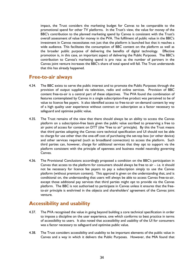<span id="page-37-0"></span>impact, the Trust considers the marketing budget for Canvas to be comparable to the promotional spend for other TV platforms. In the Trust's view, the value for money of the BBC's contribution to the planned marketing spend by Canvas is consistent with the Trust's overall assessment of value for money in the PVA. The fulfilment of public value in the BBC's investment in Canvas necessitates not just that the platform is launched but that it reaches a wide audience. This facilitates the consumption of BBC content on the platform as well as the broader public purpose of delivering the benefits of digital technology. Effective promotion is, in this case, an important aspect of delivering the Public Purposes. The BBC's contribution to Canvas's marketing spend is pro rata: as the number of partners in the Canvas joint venture increases the BBC's share of total spend will fall. The Trust understands that this has already happened.

#### **Free-to-air always**

- 4.34. The BBC exists to serve the public interest and to promote the Public Purposes through the provision of output supplied via television, radio and online services. Provision of BBC content free-to-air is a central part of these objectives. The PVA found the combination of features contemplated by Canvas in a single subscription-free product was perceived to be of value to licence fee payers. It also identified access to free-to-air on-demand content by way of a high quality user experience without contract or subscription as a factor necessary to safeguard and optimise public value.
- 4.35. The Trust remains of the view that there should always be an ability to access the Canvas platform on a subscription-free basis given the public value ascribed to preserving a free to air point of access for content on DTT (the "free to air" principle). By this the Trust means that third parties adopting the Canvas core technical specification and UI should not be able to charge for use other than the one-off cost of purchasing the set-top box (or other device) and other services required (such as broadband connection) to access the platform. Such third parties can, however, charge for additional services that they opt to support via the platform consistent with the principle of openness and business model neutrality governing Canvas.
- 4.36. The Provisional Conclusions accordingly proposed a condition on the BBC's participation in Canvas that access to the platform for consumers should always be free to air – i.e. it should not be necessary for licence fee payers to pay a subscription simply to use the Canvas platform (without premium content). This approval is given on the understanding that, and is conditional on, the understanding that users will always be able to access Canvas free-to-air, except those additional pay services that third parties might opt to provide via the Canvas platform. The BBC is not authorised to participate in Canvas unless it ensures that the freeto-air principle is enshrined in the objects and shareholders' agreement of the Canvas joint venture.

#### **Accessibility and usability**

- 4.37. The PVA recognised the value in going beyond building a core technical specification in order to impose a discipline on the user experience, one which conforms to best practice in terms of accessibility to users. It also noted that accessibility and usability of the UI for consumers was a factor necessary to safeguard and optimise public value.
- 4.38. The Trust considers accessibility and usability to be important elements of the public value in Canvas and a way in which it delivers the Public Purposes. However, the MIA found that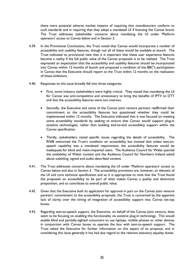there were potential adverse market impacts of requiring that manufacturers conform to such standards and in requiring that they adopt a mandated UI if licensing the Canvas brand. The Trust addresses stakeholder concerns about mandating the UI under 'Platform operators' access to Canvas below and in Section 3.

- 4.39. In the Provisional Conclusions, the Trust noted that Canvas would incorporate a number of accessibility and usability features, though not all of these would be available at launch. The Trust indicated its provisional view that it is important that these user experience features become a reality if the full public value of the Canvas proposals is to be realised. The Trust expressed an expectation that the accessibility and usability features should be incorporated into Canvas within 12 months of launch and proposed a condition of the BBC's participation in Canvas that the Executive should report to the Trust within 12 months on the realisation of these ambitions.
- 4.40. Responses to this issue broadly fell into three categories.
	- First, some industry stakeholders were highly critical. They stated that mandating the UI for Canvas was anti-competitive and unnecessary to bring the benefits of IPTV to DTT and that the accessibility features were too onerous.
	- Secondly, the Executive and some of the Canvas joint venture partners reaffirmed their commitment to the accessibility features but questioned whether they could be implemented within 12 months. The Executive indicated that it was focused on meeting some accessibility standards by seeking to ensure that Canvas would support plug-in assistive technologies, rather than building end-to-end accessibility support within the Canvas specification.
	- Thirdly, stakeholders raised specific issues regarding the details of accessibility. The RNIB welcomed the Trust's condition on accessibility but insisted that unless text-tospeech capability was a mandated requirement, the accessibility features would be inadequate for blind and vision-impaired users. The Audience Council for Wales queried the availability of Welsh content and the Audience Council for Northern Ireland asked about subtitling, signed and audio-described content.
- 4.41. The Trust addresses concerns about mandating the UI under 'Platform operators' access to Canvas below and also in Section 3. The accessibility provisions are, however, an element of the UI and core technical specification and so it is appropriate to note that the Trust found the proposals on accessibility to be part of what makes Canvas a quality and distinctive proposition, and so contribute to overall public value.
- 4.42. Given that the Executive built its application for approval in part on the Canvas joint venture partners' commitment to the accessibility proposals, the Trust is concerned by the apparent lack of clarity over the timing of integration of accessibility support into Canvas set-top boxes.
- 4.43. Regarding text-to-speech support, the Executive, on behalf of the Canvas joint venture, does seem to be focusing on enabling this functionality via assistive plug-in technology. This would enable blind and partially-sighted consumers to use laptops, mobile phones or other devices in conjunction with Canvas boxes to operate the box with text-to-speech support. The Trust asked the Executive for further information on this aspect of its proposal, and in considering this issue generally it has had due regard to the relevant statutory equality duties.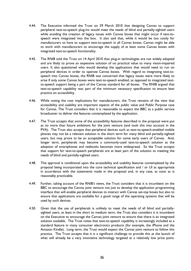- 4.44. The Executive informed the Trust on 29 March 2010 that designing Canvas to support peripheral text-to-speech plug-ins would meet the needs of blind and partially-sighted users while avoiding the creation of legacy issues with Canvas boxes that might occur if text-tospeech were integrated into the box. It also said that, while it would be too costly for manufacturers to have to support text-to-speech in all Canvas boxes, Canvas might be able to work with manufacturers to encourage the supply of at least some Canvas boxes with integrated text-to-speech functionality.
- 4.45. The RNIB told the Trust on 14 April 2010 that plug-in technologies are not widely adopted and are likely to prove an expensive solution of no practical value to many vision-impaired users. It also questioned who would develop the applications that would need to run on peripheral devices in order to operate Canvas boxes. With regard to integrating text-tospeech into Canvas boxes, the RNIB was concerned that legacy issues were more likely to arise if only some Canvas boxes were text-to-speech enabled, as opposed to integrated textto-speech support being a part of the Canvas standard for all boxes. The RNIB argued that text-to-speech capability was part of the minimum necessary specification to ensure best practice on accessibility.
- 4.46. While noting the cost implications for manufacturers, the Trust remains of the view that accessibility and usability are important aspects of the public value and Public Purpose case for Canvas. The Trust considers that it is reasonable to expect the BBC as a public service broadcaster to deliver the features contemplated by the application.
- 4.47. The Trust accepts that some of the accessibility features described in the proposal were put as no more than future ambitions for the joint venture (and took this into account in the PVA). The Trust also accepts that peripheral devices such as text-to-speech-enabled mobile phones may not be a relevant solution in the short term for many blind and partially-sighted users, but may prove to be an acceptable solution for some early users of Canvas. And, longer term, peripherals may become a commonly-used text-to-speech solution as the adoption of smartphones and netbooks becomes more widespread. So the Trust accepts that support for text-to-speech peripherals are at least part of the solution to meeting the needs of blind and partially-sighted users.
- 4.48. This approval is conditional upon the accessibility and usability features contemplated by the proposal being incorporated into the core technical specification and / or UI as appropriate in accordance with the statements made in the proposal and, in any case, as soon as is reasonably practicable.
- 4.49. Further, taking account of the RNIB's views, the Trust considers that it is incumbent on the BBC to encourage the Canvas joint venture not just to develop the application programming interface that will enable peripheral devices to interact with Canvas set-top boxes but also to ensure that applications are available for a good range of the operating systems that will be used by such devices.
- 4.50. Given that the use of peripherals is unlikely to meet the needs of all blind and partiallysighted users, at least in the short to medium term, the Trust also considers it is incumbent on the Executive to encourage the Canvas joint venture to ensure that there is an integrated solution available. The Trust notes that text-to-speech capability is increasingly included as a standard feature in many consumer electronics products (for example, the iPhone and the Amazon Kindle). Long term, the Trust would expect the Canvas joint venture to follow this practice. The Trust accepts that it is a significant challenge to provide this at the launch of what will already be a very innovative technology targeted at a relatively low price point.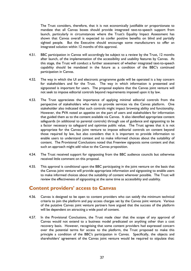<span id="page-40-0"></span>The Trust considers, therefore, that it is not economically justifiable or proportionate to mandate that all Canvas boxes should provide integrated text-to-speech support from launch, particularly in circumstances where the Trust's Equality Impact Assessment has shown that Canvas overall is expected to confer positive benefits on blind and partially sighted people. But the Executive should encourage some manufacturers to offer an integrated solution within 12 months of this approval.

- 4.51. BBC participation in Canvas will accordingly be subject to a review by the Trust, 12 months after launch, of the implementation of the accessibility and usability features by Canvas. At this stage, the Trust will conduct a further assessment of whether integrated text-to-speech capability should be mandated in the future as a condition of the BBC's continued participation in Canvas.
- 4.52. The way in which the UI and electronic programme guide will be operated is a key concern for stakeholders and for the Trust. The way in which information is presented and signposted is important for users. The proposal explains that the Canvas joint venture will not seek to impose editorial controls beyond requirements imposed upon it by law.
- 4.53. The Trust appreciates the importance of applying minimal editorial controls from the perspective of stakeholders who wish to provide services via the Canvas platform. One stakeholder also indicated that such controls might impact browsing ability and functionality. However, the PVA noted an appetite on the part of users and stakeholders for information that guided them as to the content available via Canvas. It also identified appropriate content safeguards (in additional to parental controls) through use of guidance and signposting to be a factor necessary to safeguard and optimise public value. The Trust agrees that it is not appropriate for the Canvas joint venture to impose editorial controls on content beyond those required by law, but also considers that it is important to provide information to enable users to understand context and to make informed choices about the suitability of content. The Provisional Conclusions noted that Freeview signposts some content and that such an approach might add value to the Canvas proposition.
- 4.54. The Trust received support for signposting from the BBC audience councils but otherwise received little comment on this proposal.
- 4.55. This approval is conditional upon the BBC participating in the joint venture on the basis that the Canvas joint venture will provide appropriate information and signposting to enable users to make informed choices about the suitability of content wherever possible. The Trust will review the effectiveness of signposting at the same time as accessibility and usability.

#### **Content providers' access to Canvas**

- 4.56. Canvas is designed to be open to content providers who can satisfy the minimum technical criteria to join the platform and pay access charges set by the Canvas joint venture. Various of the putative Canvas joint venture partners have argued that the success of the platform will be dependent on attracting a wide pool of content.
- 4.57. In the Provisional Conclusions, the Trust made clear that the scope of any approval of Canvas would not extend to a business model predicated on anything other than a cost recovery basis. However, recognising that some content providers had expressed concern over the potential terms for access to the platform, the Trust proposed to make this principle a condition of the BBC's participation in Canvas. Specifically, the objects and shareholders' agreement of the Canvas joint venture would be required to stipulate that: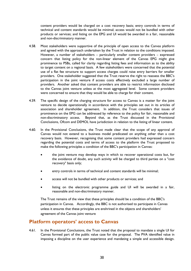<span id="page-41-0"></span>content providers would be charged on a cost recovery basis; entry controls in terms of technical and content standards would be minimal; access would not be bundled with other products or services; and listing on the EPG and UI would be awarded in a fair, reasonable and non-discriminatory manner.

- 4.58. Most stakeholders were supportive of the principle of open access to the Canvas platform and agreed with the approach undertaken by the Trust in relation to the conditions imposed. However, a number of stakeholders – particularly smaller content providers – expressed concern that listing policy for the non-linear element of the Canvas EPG might give prominence to PSBs, called for clarity regarding listing fees and information as to the ability to target content on a regional basis. A few stakeholders were concerned that the potential use of a flat fee structure to support access charges could raise entry barriers for smaller providers. One stakeholder suggested that the Trust reserve the right to reassess the BBC's participation in the joint venture if access costs effectively excluded a large number of providers. Another asked that content providers are able to restrict information disclosed to the Canvas joint venture unless at the most aggregated level. Some content providers were concerned to ensure that they would be able to charge for their content.
- 4.59. The specific design of the charging structure for access to Canvas is a matter for the joint venture to decide operationally in accordance with the principles set out in its articles of association and shareholder agreement. In addition, the Trust considers that issues of prominence on the EPG can be addressed by reference to the policy for fair, reasonable and non-discriminatory access. Beyond that, as the Trust discussed in the Provisional Conclusions, Ofcom and DEMOL have jurisdiction in relation to the listing of linear content.
- 4.60. In the Provisional Conclusions, the Trust made clear that the scope of any approval of Canvas would not extend to a business model predicated on anything other than a cost recovery basis. However, recognising that some content providers had expressed concern regarding the potential costs and terms of access to the platform the Trust proposed to make the following principles a condition of the BBC's participation in Canvas:
	- the joint venture may develop ways in which to recover operational costs but, for the avoidance of doubt, any such activity will be charged to third parties on a "cost recovery" basis only;
	- entry controls in terms of technical and content standards will be minimal;
	- access will not be bundled with other products or services; and
	- listing on the electronic programme guide and UI will be awarded in a fair, reasonable and non-discriminatory manner.

The Trust remains of the view that these principles should be a condition of the BBC's participation in Canvas. Accordingly, the BBC is not authorised to participate in Canvas unless it ensures that these principles are enshrined in the objects and shareholders' agreement of the Canvas joint venture

#### **Platform operators' access to Canvas**

4.61. In the Provisional Conclusions, the Trust noted that the proposal to mandate a single UI for Canvas formed part of the public value case for the proposal. The PVA identified value in imposing a discipline on the user experience and mandating a simple and accessible design.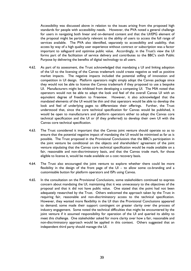Accessibility was discussed above in relation to the issues arising from the proposed high standards for people with accessibility needs. However, the PVA noted a general challenge for users in navigating both linear and on-demand content and that the UI/EPG element of the proposal might be particularly relevant to the ability of users to access the full range of services available. The PVA also identified, separately to accessibility and usability, that access by way of a high quality user experience without contract or subscription was a factor important to safeguard and optimise public value. Accordingly, in the Trust's view the UI forms part of the facilitation of service delivery and contributes to the BBC's sixth Public Purpose by delivering the benefits of digital technology to all users.

- 4.62. As part of its assessment, the Trust acknowledged that mandating a UI and linking adoption of the UI to the licensing of the Canvas trademark could create negative as well as positive market impacts. The negative impacts included the potential stifling of innovation and competition in UI design. Platform operators might simply adopt the Canvas package since they would not be able to license the Canvas trademark if they proposed to use a bespoke UI. Manufacturers might be inhibited from developing a competing UI. The MIA noted that operators would not be able to adapt the look and feel of the overall Canvas UI with an equivalent degree of freedom to Freeview. However, it also acknowledged that the mandated elements of the UI would be thin and that operators would be able to develop the look and feel of underlying pages to differentiate their offerings. Further, the Trust understood that, since the core technical specification for Canvas would be published, it would be open to manufacturers and platform operators either to adopt the Canvas core technical specification and the UI or (if they preferred) to develop their own UI with the Canvas core technical specification.
- 4.63. The Trust considered it important that the Canvas joint venture should operate so as to ensure that the potential negative impact of mandating the UI would be minimised as far as is possible. The Trust proposed in the Provisional Conclusions that the BBC's participation in the joint venture be conditional on the objects and shareholders' agreement of the joint venture stipulating that the Canvas core technical specification would be made available on a fair, reasonable and non-discriminatory basis, and that the Canvas trade mark, for those eligible to license it, would be made available on a cost recovery basis.
- 4.64. The Trust also encouraged the joint venture to explore whether there could be more flexibility in the design of the front page of the  $UI -$  to allow some co-branding and a customisable button for platform operators and ISPs using Canvas.
- 4.65. In the consultation on the Provisional Conclusions, some stakeholders continued to express concern about mandating the UI, maintaining that it was unnecessary to the objectives of the proposal and that it did not have public value. One stated that the point had not been adequately researched by the Trust. Others welcomed the approach taken by the Trust in requiring fair, reasonable and non-discriminatory access to the technical specification. However, they wanted more flexibility in the UI than the Provisional Conclusions appeared to demand; some made their support contingent on greater clarity over the process of industry engagement. Some noted the technical difficulties that might be encountered by the joint venture if it assumed responsibility for operation of the UI and queried its ability to meet this challenge. One stakeholder asked for more clarity over how a fair, reasonable and non-discriminatory approach would be applied in this context. Others suggested that an independent third party should manage the UI.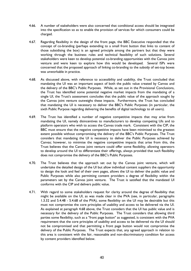- 4.66. A number of stakeholders were also concerned that conditional access should be integrated into the specification so as to enable the provision of services for which consumers could be charged.
- 4.67. Regarding flexibility in the design of the front page, the BBC Executive responded that the concept of co-branding (perhaps extending to a small front button that links to content of those subsidising the box) is an agreed principle among the partners but that they were working through the business rules and technical feasibility of such solutions. Several stakeholders were keen to develop potential co-branding opportunities with the Canvas joint venture and were keen to explore how this would be developed. Several ISPs were concerned that the proposed approach of linking co-branding to the subsidy of set-top boxes was unworkable in practice.
- 4.68. As discussed above, with reference to accessibility and usability, the Trust concluded that mandating the UI was an important aspect of both the public value created by Canvas and the delivery of the BBC's Public Purposes. While, as set out in the Provisional Conclusions, the Trust has identified some potential negative market impacts from the mandating of a single UI, the Trust's assessment concludes that the public value of the approach sought by the Canvas joint venture outweighs these impacts. Furthermore, the Trust has concluded that mandating the UI is necessary to deliver the BBC's Public Purposes (in particular, the sixth Public Purpose regarding delivering the benefits of digital technology to all users).
- 4.69. The Trust has identified a number of negative competitive impacts that may arise from mandating the UI, namely disincentives to manufacturers to develop competing UIs and to platform operators who wish to access the Canvas trade mark. Consistent with the CIP, the BBC must ensure that the negative competitive impacts have been minimised to the greatest extent possible without compromising the delivery of the BBC's Public Purposes. The Trust considers that mandating the UI is necessary to deliver the Public Purposes achieved by Canvas; however, to minimise the negative competitive impacts that arise from this, the Trust believes that the Canvas joint venture could offer some flexibility, allowing operators to develop around the UI to differentiate their offerings, always provided that such flexibility does not compromise the delivery of the BBC's Public Purposes.
- 4.70. The Trust believes that the approach set out by the Canvas joint venture, which will undertake the detailed design of the UI but allow individual content suppliers the opportunity to design the look and feel of their own pages, allows the UI to deliver the public value and Public Purposes while also permitting content providers a degree of flexibility within the parameters set by the Canvas joint venture. The Trust is satisfied that the mandated UI conforms with the CIP and delivers public value.
- 4.71. With regard to some stakeholders request for clarity around the degree of flexibility that might be available on the UI, as was made clear in the PVA (see, in particular, paragraphs 1.3.32 and 5.4.48 - 5.4.68 of the PVA), some flexibility on the UI may be desirable but this must not compromise the core principles of usability and access to be delivered via the UI. As explained at paragraph 4.68 above, the Trust considers that the UI has public value and is necessary for the delivery of the Public Purposes. The Trust considers that allowing third parties some flexibility, such as a "front page button" as suggested, is consistent with the PVA requirement that the core principles of usability and access to be delivered via the UI should not be compromised and that permitting a front page button would not compromise the delivery of the Public Purposes. The Trust expects that, any agreed approach in relation to this area is consistent with the fair, reasonable and non-discriminatory condition for access by content providers identified below.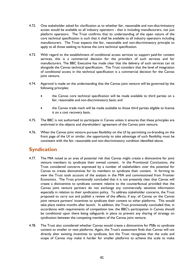- <span id="page-44-0"></span>4.72. One stakeholder asked for clarification as to whether fair, reasonable and non-discriminatory access would be available to all industry operators - that is including manufacturers, not just platform operators. The Trust confirms that its understanding of the open nature of the core technical specification is such that it shall be available to all industry operators including manufacturers. The Trust expects the fair, reasonable and non-discriminatory principle to apply to all those seeking to license the core technical specification.
- 4.73. With regard to the establishment of conditional access services to support paid-for content services, this is a commercial decision for the providers of such services and for manufacturers. The BBC Executive has made clear that the delivery of such services can sit alongside the Canvas technical specification. The Trust considers that the level of integration of conditional access in the technical specification is a commercial decision for the Canvas joint venture.
- 4.74. Approval is made on the understanding that the Canvas joint venture will be governed by the following principles:
	- the Canvas core technical specification will be made available to third parties on a fair, reasonable and non-discriminatory basis; and
	- the Canvas trade mark will be made available to those third parties eligible to license it on a cost recovery basis.
- 4.75. The BBC is not authorised to participate in Canvas unless it ensures that these principles are enshrined in the objects and shareholders' agreement of the Canvas joint venture.
- 4.76. When the Canvas joint venture pursues flexibility on the UI by permitting co-branding on the front page of the UI or similar, the opportunity to take advantage of such flexibility must be consistent with the fair, reasonable and non-discriminatory condition identified above.

#### **Syndication**

- 4.77. The MIA noted as an area of potential risk that Canvas might create a disincentive for joint venture members to syndicate their owned content. In the Provisional Conclusions, the Trust considered concerns expressed by a number of stakeholders over the potential for Canvas to create disincentives for its members to syndicate their content. In forming its view the Trust took account of the analysis in the MIA and commissioned from Frontier Economics. The Trust provisionally concluded that it is not presently clear that Canvas will create a disincentive to syndicate content relative to the counterfactual provided that the Canvas joint venture partners do not exchange any commercially sensitive information especially in relation to their syndication policy. To address stakeholder concerns, the Trust proposed to carry out and publish a review of the effects, if any, of Canvas on the Canvas joint venture partners' incentives to syndicate their content to other platforms. This would take place twelve months after launch. In addition, the Trust provisionally concluded that, in accordance with requirements of competition law, the BBC's participation in Canvas should be conditional upon there being safeguards in place to prevent any sharing of strategy on syndication between the competing members of the Canvas joint venture.
- 4.78. The Trust also considered whether Canvas would create a disincentive for PSBs to syndicate content to smaller or new platforms. Again, the Trust's assessment finds that Canvas will not directly alter existing incentives to syndicate, but the Trust recognises that the scale and scope of Canvas may make it harder for smaller platforms to achieve the scale to make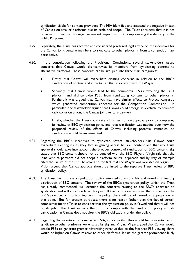syndication viable for content providers. The MIA identified and assessed the negative impact of Canvas on smaller platforms due its scale and scope. The Trust considers that it is not possible to minimise this negative market impact without compromising the delivery of the Public Purposes.

- 4.79. Separately, the Trust has received and considered privileged legal advice on the incentives for the Canvas joint venture members to syndicate to other platforms from a competition law perspective.
- 4.80. In the consultation following the Provisional Conclusions, several stakeholders raised concerns that Canvas would disincentivise its members from syndicating content to alternative platforms. These concerns can be grouped into three main categories:
	- Firstly, that Canvas will exacerbate existing concerns in relation to the BBC's syndication of content and in particular that associated with the iPlayer.
	- Secondly, that Canvas would lead to the commercial PSB's favouring the DTT platform and disincentivise PSBs from syndicating content to other platforms. Further, it was argued that Canvas may have similar effects to Project Kangaroo which generated competition concerns for the Competition Commission. In particular, one stakeholder argued that Canvas could emerge as a vehicle to promote tacit collusion among the Canvas joint venture partners.
	- Finally, whether the Trust could take a final decision on approval prior to completing its review of BBC syndication policy and, that clarification was needed over how the proposed review of the effects of Canvas, including potential remedies, on syndication would be implemented.
- 4.81. Regarding the BBC's incentives to syndicate, several stakeholders said Canvas could exacerbate existing issues they face in gaining access to BBC content and that any Trust approval should take into account the broader context of syndication of BBC content. Sky stated that BBC content should not be bundled with the BBC iPlayer. Virgin said that the joint venture partners did not adopt a platform neutral approach and by way of example cited the failure of the BBC to advertise the fact that the iPlayer was available on Virgin. IP Vision argued that Canvas approval should be linked to the separate Trust review of BBC syndication policy.
- 4.82. The Trust has in place a syndication policy intended to ensure fair and non-discriminatory distribution of BBC content. The review of the BBC's syndication policy, which the Trust has already commenced, will examine the concerns relating to the BBC's approach to syndication and will conclude later this year. If the Trust's review unearths problems in the BBC's practice, or shortcomings with the policy, these will be addressed, as appropriate, at that point. But for present purposes, there is no reason (other than the fact of certain complaints) for the Trust to consider that the syndication policy is flawed and that it will not do its job. The Trust expects the BBC to comply with the syndication policy and its participation in Canvas does not alter the BBC's obligations under the policy.
- 4.83. Regarding the incentives of commercial PSBs, concerns that they would be disincentivised to syndicate to other platforms were raised by Sky and Virgin. Virgin argued that Canvas would enable PSBs to generate greater advertising revenue due to the fact that PSB viewing share would be higher on Canvas relative to other platforms. It said the greater prominence likely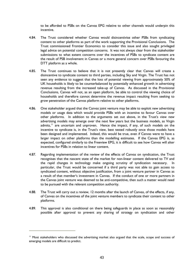to be afforded to PSBs on the Canvas EPG relative to other channels would underpin this incentive.

- <span id="page-46-0"></span>4.84. The Trust considered whether Canvas would disincentivise other PSBs from syndicating content to other platforms as part of the work supporting the Provisional Conclusions. The Trust commissioned Frontier Economics to consider this issue and also sought privileged legal advice on potential competition concerns. It was not always clear from the stakeholder submissions to what extent concerns over the incentives of PSBs to syndicate content are the result of PSB involvement in Canvas or a more general concern over PSBs favouring the DTT platform as a whole.
- 4.85. The Trust continues to believe that it is not presently clear that Canvas will create a disincentive to syndicate content to third parties, including Sky and Virgin. The Trust has not seen any evidence to suggest that the loss of potential viewing from approximately 50% of UK households is likely to be counterbalanced by potentially enhanced growth in advertising revenue resulting from the increased take-up of Canvas. As discussed in the Provisional Conclusions, Canvas will not, as an open platform, be able to control the viewing choice of households and therefore cannot determine the revenue impact resulting from seeking to grow penetration of the Canvas platform relative to other platforms.
- 4.86. One stakeholder argued that the Canvas joint venture may be able to exploit new advertising models or usage data which would provide PSBs with an incentive to favour Canvas over other platforms. In addition to the arguments set out above, in the Trust's view new advertising models may emerge over the next few years but the business models, as Virgin admits.<sup>[11](#page-46-0)</sup> are uncertain and unproven. Hence the impact, if any, of such models on the incentive to syndicate is, in the Trust's view, best tested robustly once those models have been designed and implemented. Indeed, this would be true, even if Canvas were to have a larger impact on other platforms than the modelling estimates. If the Canvas EPG is, as expected, configured similarly to the Freeview EPG, it is difficult to see how Canvas will alter incentives for PSBs in relation to linear content.
- 4.87. Regarding implementation of the review of the effects of Canvas on syndication, the Trust recognises that the nascent state of the market for non-linear content delivered to TV and the rapid changes in technology make ongoing scrutiny of syndication necessary. In particular, the Trust would be concerned if a third party was not able to gain access to syndicated content, without objective justification, from a joint venture partner in Canvas as a result of that member's investment in Canvas. If the conduct of one or more partners in the Canvas joint venture was deemed to be anti-competitive, then such a matter would need to be pursued with the relevant competition authority.
- 4.88. The Trust will carry out a review, 12 months after the launch of Canvas, of the effects, if any, of Canvas on the incentives of the joint venture members to syndicate their content to other platforms.
- 4.89. This approval is also conditional on there being safeguards in place as soon as reasonably possible after approval to prevent any sharing of strategy on syndication and other

i.

<sup>&</sup>lt;sup>11</sup> Most stakeholders who discussed the advertising market also argued that the scale, scope and success of emerging models are difficult to predict.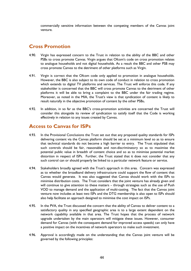<span id="page-47-0"></span>commercially sensitive information between the competing members of the Canvas joint venture.

#### **Cross Promotion**

- 4.90. Virgin has expressed concern to the Trust in relation to the ability of the BBC and other PSBs to cross promote Canvas. Virgin argues that Ofcom's code on cross promotion relates to analogue households and not digital households. As a result the BBC and other PSB may cross promote Canvas to the detriment of other platforms such as Virgin.
- 4.91. Virgin is correct that the Ofcom code only applied to promotion in analogue households. However, the BBC is also subject to its own code of conduct in relation to cross promotion which extends to digital TV platforms and services. The Trust will enforce this code. If any stakeholder is concerned that the BBC will cross promote Canvas to the detriment of other platforms it will be able to bring a complaint to the BBC under the fair trading regime. Moreover, as noted in the MIA, the Trust's view is that syndication of content is likely to result naturally in the objective promotion of content by the other PSBs**.**
- 4.92. In addition, in so far as the BBC's cross-promotion activities are concerned the Trust will consider this alongside its review of syndication to satisfy itself that the Code is working effectively in relation to any issues created by Canvas.

#### **Access to Canvas for ISPs**

- 4.93. In the Provisional Conclusions the Trust set out that any proposed quality standards for ISPs delivering content via the Canvas platform should be set at a minimum level so as to ensure that technical standards do not become a high barrier to entry. The Trust stipulated that such controls should be fair, reasonable and non-discriminatory so as to maximise the potential public value in breadth of content choice and so as to minimise potential market distortion in respect of ISPs. Further, the Trust stated that it does not consider that any such control can or should properly be linked to a particular network feature or service.
- 4.94. Stakeholders broadly agreed with the Trust's approach in this area. Concern was expressed as to whether the broadband delivery infrastructure could support the flow of content that Canvas would generate. It was also suggested that Canvas should work with the ISPs to minimise distribution costs. The Trust considers that the joint venture has already given and will continue to give attention to these matters – through strategies such as the use of Push VOD to manage demand and the application of multi-casting. The fact that the Canvas joint venture now includes at least two ISPs and the DTG membership is also open to ISPs should also help facilitate an approach designed to minimise the cost impact on ISPs.
- 4.95. In the PVA, the Trust discussed the concern that the ability of Canvas to deliver content to a satisfactory quality in any specified geographic area is to a large extent dependent on the network capability available in that area. The Trust hopes that the process of network upgrade undertaken by the main operators will mitigate these issues. However, consumer demand for Canvas (with the consequent demand for improved access speeds) can only have a positive impact on the incentives of network operators to make such investment.
- 4.96. Approval is accordingly made on the understanding that the Canvas joint venture will be governed by the following principles: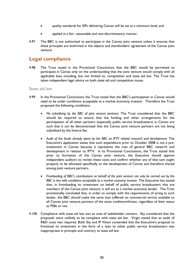- <span id="page-48-0"></span>• quality standards for ISPs delivering Canvas will be set at a minimum level; and
- applied in a fair, reasonable and non-discriminatory manner.
- 4.97. The BBC is not authorised to participate in the Canvas joint venture unless it ensures that these principles are enshrined in the objects and shareholders' agreement of the Canvas joint venture.

#### **Legal compliance**

4.98. The Trust noted in the Provisional Conclusions that the BBC would be permitted to participate in Canvas only on the understanding that the joint venture would comply with all applicable laws including, but not limited to, competition and state aid law. The Trust has taken independent legal advice on both state aid and competition issues.

#### State aid law

- 4.99. In the Provisional Conclusions the Trust noted that the BBC's participation in Canvas would need to be under conditions acceptable to a market economy investor. Therefore the Trust proposed the following conditions:
	- *No subsidising by the BBC of joint venture partners.* The Trust considered that the BBC should be required to ensure that the funding and other arrangements for the participation of all other partners (especially public service broadcasters) in Canvas are such that it can be demonstrated that the Canvas joint venture partners are not being subsidised by the licence fee.
	- *Audit of the funds already spent by the BBC on IPTV related research and development.* The Executive's application states that such expenditure prior to October 2008 is not a preinvestment in Canvas because it represents the cost of general BBC research and development in relation to IPTV. In its Provisional Conclusions, the Trust stated that prior to formation of the Canvas joint venture, the Executive should appoint independent auditors to review these costs and confirm whether any of that sum ought properly to be allocated specifically to the development of Canvas and therefore shared among joint venture partners.
	- *Frontloading of BBC's contributions on behalf of the joint venture can only be carried out by the BBC in line with conditions acceptable to a market economy investor*. The Executive has stated that, in frontloading its investment on behalf of public service broadcasters that are members of the Canvas joint venture, it will act as a market economy lender. The Trust provisionally concluded that, in order to comply with the requirements of acting as such lender, the BBC should make the same loan (offered on commercial terms) available to all Canvas joint venture partners of the same creditworthiness, regardless of their status as PSBs or not.
- 4.100. Compliance with state aid law was an area of stakeholder concern. Sky considered that the proposals were unlikely to be compliant with state aid law. Virgin stated that an audit of R&D costs was required. Both Sky and IP Vision contended that the Executive's proposal to frontload its investment in the form of a loan to other public service broadcasters was inappropriate in principle and contrary to state aid law.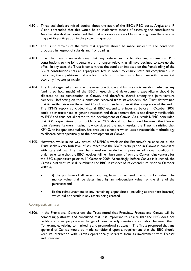- 4.101. Three stakeholders raised doubts about the audit of the BBC's R&D costs. Arqiva and IP Vision contended that this would be an inadequate means of assessing the contributions. Another stakeholder contended that that any re-allocation of funds arising from the exercise may put its participation in the project in question.
- 4.102. The Trust remains of the view that approval should be made subject to the conditions proposed in respect of subsidy and frontloading.
- 4.103. It is the Trust's understanding that any references to frontloading commercial PSB contributions to the joint venture are no longer relevant as all have declined to take-up the offer. In any case, the Trust is content that the condition imposed on the frontloading of the BBC's contributions sets an appropriate test in order to ensure state aid compliance – in particular, the stipulations that any loan made on this basis must be in line with the market economy investor principle.
- 4.104. The Trust regarded an audit as the most practicable and fair means to establish whether any (and is so how much) of the BBC's research and development expenditure should be allocated to its participation in Canvas, and therefore shared among the joint venture partners. Reflecting on the submissions received from stakeholders, the Trust determined that its settled view on these Final Conclusions needed to await the completion of the audit. The KPMG report concluded that all BBC expenditure incurred before 1 October 2009 could be characterised as generic research and development that is not directly attributable to IPTV and thus not allocated to the development of Canvas. As a result KPMG concluded that BBC expenditure prior to October 2009 should not be shared between the Canvas Joint Venture Partners. Having now considered the audit results, the Trust is satisfied that KPMG, an independent auditor, has produced a report which uses a reasonable methodology to allocate costs specifically to the development of Canvas.
- 4.105. However, while in no way critical of KPMG's work or the Executive's reliance on it, the Trust seeks a very high level of assurance that the BBC's participation in Canvas is compliant with state aid law. The Trust has therefore decided to impose an additional condition in order to ensure that the BBC receives full reimbursement from the Canvas joint venture for the BBC expenditure prior to  $1<sup>st</sup>$  October 2009. Accordingly, before Canvas is launched, the Canvas joint venture shall reimburse the BBC in respect of its expenditure prior to October 2009 via:
	- i) the purchase of all assets resulting from this expenditure at market value. The market value shall be determined by an independent valuer at the time of the purchase; and
	- ii) the reimbursement of any remaining expenditure (including appropriate interest) which did not result in any assets being created.

#### Competition law

4.106. In the Provisional Conclusions the Trust noted that Freeview, Freesat and Canvas will be competing platforms and concluded that it is important to ensure that the BBC does not facilitate any inappropriate exchange of commercially sensitive information between them (for example, relating to marketing and promotional strategy). The Trust proposed that any approval of Canvas would be made conditional upon a requirement that the BBC should keep its interaction with Canvas operationally separate from its involvement with Freesat and Freeview.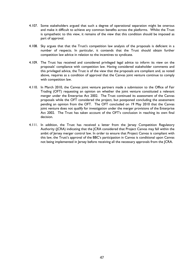- 4.107. Some stakeholders argued that such a degree of operational separation might be onerous and make it difficult to achieve any common benefits across the platforms. Whilst the Trust is sympathetic to this view, it remains of the view that this condition should be imposed as part of approval.
- 4.108. Sky argues that that the Trust's competition law analysis of the proposals is deficient in a number of respects. In particular, it contends that the Trust should obtain further competition law advice in relation to the incentives to syndicate.
- 4.109. The Trust has received and considered privileged legal advice to inform its view on the proposals' compliance with competition law. Having considered stakeholder comments and this privileged advice, the Trust is of the view that the proposals are compliant and, as noted above, requires as a condition of approval that the Canvas joint venture continue to comply with competition law.
- 4.110. In March 2010, the Canvas joint venture partners made a submission to the Office of Fair Trading (OFT) requesting an opinion on whether the joint venture constituted a relevant merger under the Enterprise Act 2002. The Trust continued its assessment of the Canvas proposals while the OFT considered the project, but postponed concluding the assessment pending an opinion from the OFT. The OFT concluded on 19 May 2010 that the Canvas joint venture does not qualify for investigation under the merger provisions of the Enterprise Act 2002. The Trust has taken account of the OFT's conclusion in reaching its own final decision.
- 4.111. In addition, the Trust has received a letter from the Jersey Competition Regulatory Authority (JCRA) indicating that the JCRA considered that Project Canvas may fall within the ambit of Jersey merger control law. In order to ensure that Project Canvas is compliant with this law, the Trust's approval of the BBC's participation in Canvas is conditional upon Canvas not being implemented in Jersey before receiving all the necessary approvals from the JCRA.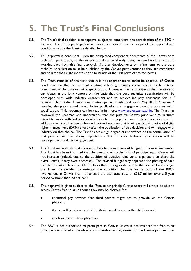## <span id="page-51-0"></span>**5. The Trust's Final Conclusions**

- 5.1. The Trust's final decision is to approve, subject to conditions, the participation of the BBC in Canvas. The BBC's participation in Canvas is restricted by the scope of this approval and conditions set by the Trust, as detailed below.
- 5.2. This approval is conditional upon the completed component documents of the Canvas core technical specification, to the extent not done so already, being released no later than 20 working days from this final approval. Further developments or refinements to the core technical specification must be published by the Canvas joint venture as they are completed and no later than eight months prior to launch of the first wave of set-top boxes.
- 5.3. The Trust remains of the view that it is not appropriate to make its approval of Canvas conditional on the Canvas joint venture achieving industry consensus on each material component of the core technical specification. However, the Trust expects the Executive to participate in the joint venture on the basis that the core technical specification will be developed with wide industry engagement and to achieve industry consensus for it if possible. The putative Canvas joint venture partners published on 28 May 2010 a "roadmap" detailing the process and timetable for publication and engagement on the core technical specification. This roadmap can be read in full here: [www.projectcanvas.info](http://www.projectcanvas.info/). The Trust has reviewed the roadmap and understands that the putative Canvas joint venture partners intend to work with industry stakeholders to develop the core technical specification. In addition the Trust has been informed by the Executive that it will publish its choice of digital rights management (DRM) shortly after the publication of this decision and will engage with industry on that choice.. The Trust places a high degree of importance on the continuation of that process and has strong expectations that the core technical specification will be developed with industry engagement.
- 5.4. The Trust understands that Canvas is likely to agree a revised budget in the next few weeks. The Trust has been informed that the overall cost to the BBC of participating in Canvas will not increase (indeed, due to the addition of putative joint venture partners to share the overall costs, it may even decrease). The revised budget may approach the phasing of each tranche of costs differently. On the basis that the aggregate cost to the BBC will not change, the Trust has decided to maintain the condition that the annual cost of the BBC's involvement in Canvas shall not exceed the estimated cost of £24.7 million over a 5 year period by more than 20 per cent
- 5.5. This approval is given subject to the "free-to-air principle", that users will always be able to access Canvas free to air, although they may be charged for:
	- additional pay services that third parties might opt to provide via the Canvas platform;
	- the one-off purchase cost of the device used to access the platform; and
	- any broadband subscription fees.
- 5.6. The BBC is not authorised to participate in Canvas unless it ensures that the free-to-air principle is enshrined in the objects and shareholders' agreement of the Canvas joint venture.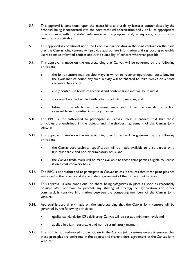- 5.7. This approval is conditional upon the accessibility and usability features contemplated by the proposal being incorporated into the core technical specification and / or UI as appropriate in accordance with the statements made in the proposal and, in any case, as soon as is reasonably practicable.
- 5.8. This approval is conditional upon the Executive participating in the joint venture on the basis that the Canvas joint venture will provide appropriate information and signposting to enable users to make informed choices about the suitability of content wherever possible.
- 5.9. This approval is made on the understanding that Canvas will be governed by the following principles:
	- the joint venture may develop ways in which to recover operational costs but, for the avoidance of doubt, any such activity will be charged to third parties on a "cost recovery" basis only;
	- entry controls in terms of technical and content standards will be minimal;
	- access will not be bundled with other products or services; and
	- listing on the electronic programme guide and UI will be awarded in a fair, reasonable and non-discriminatory manner.
- 5.10. The BBC is not authorised to participate in Canvas unless it ensures that that these principles are enshrined in the objects and shareholders' agreement of the Canvas joint venture.
- 5.11. This approval is made on the understanding that Canvas will be governed by the following principles:
	- the Canvas core technical specification will be made available to third parties on a fair, reasonable and non-discriminatory basis; and
	- the Canvas trade mark will be made available to those third parties eligible to license it on a cost recovery basis.
- 5.12. The BBC is not authorised to participate in Canvas unless it ensures that these principles are enshrined in the objects and shareholders' agreement of the Canvas joint venture.
- 5.13. This approval is also conditional on there being safeguards in place as soon as reasonably possible after approval to prevent any sharing of strategy on syndication and other commercially sensitive information between the competing members of the Canvas joint venture.
- 5.14. Approval is accordingly made on the understanding that the Canvas joint venture will be governed by the following principles:
	- quality standards for ISPs delivering Canvas will be set at a minimum level; and
	- applied in a fair, reasonable and non-discriminatory manner.
- 5.15. The BBC is not authorised to participate in the Canvas joint venture unless it ensures that these principles are enshrined in the objects and shareholders' agreement of the Canvas joint venture.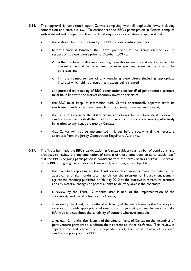- 5.16. This approval is conditional upon Canvas complying with all applicable laws, including competition and state aid law. To ensure that the BBC's participation in Canvas complies with state aid and competition law, the Trust requires as a condition of approval that:
	- there should be no subsidising by the BBC of joint venture partners;
	- before Canvas is launched, the Canvas joint venture shall reimburse the BBC in respect of its expenditure prior to October 2009 via:
		- $\circ$  i) the purchase of all assets resulting from this expenditure at market value. The market value shall be determined by an independent valuer at the time of the purchase; and
		- o ii) the reimbursement of any remaining expenditure (including appropriate interest) which did not result in any assets being created
	- any potential frontloading of BBC contributions on behalf of joint venture partners must be in line with the market economy investor principle;
	- the BBC must keep its interaction with Canvas operationally separate from its involvement with other free-to-air platforms, namely Freeview and Freesat;
	- the Trust will consider the BBC's cross-promotion activities alongside its review of syndication to satisfy itself that the BBC cross-promotion code is working effectively in relation to any issues created by Canvas;
	- that Canvas will not be implemented in Jersey before receiving all the necessary approvals from the Jersey Competition Regulatory Authority.
- 5.17. The Trust has made the BBC's participation in Canvas subject to a number of conditions, and proposes to review the implementation of certain of those conditions so as to satisfy itself that the BBC's ongoing participation is consistent with the terms of this approval. Approval of the BBC's ongoing participation in Canvas will, accordingly, be subject to:
	- the Executive reporting to the Trust every three months from the date of this approval, until six months after launch, on the progress of industry engagement against the roadmap published on 28 May 2010 by the putative joint venture partners and any material changes or potential risks to delivery against the roadmap;
	- a review by the Trust, 12 months after launch, of the implementation of the accessibility and usability features by Canvas;
	- a review by the Trust, 12 months after launch, of the steps taken by the Canvas joint venture to provide appropriate information and signposting to enable users to make informed choices about the suitability of content wherever possible;
	- a review, 12 months after launch, of the effects, if any, of Canvas on the incentives of joint venture partners to syndicate their content to other platforms. This review is separate to, and carried out independently of, the Trust review of its own syndication policy for the BBC.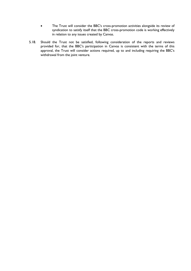- The Trust will consider the BBC's cross-promotion activities alongside its review of syndication to satisfy itself that the BBC cross-promotion code is working effectively in relation to any issues created by Canvas.
- 5.18. Should the Trust not be satisfied, following consideration of the reports and reviews provided for, that the BBC's participation in Canvas is consistent with the terms of this approval, the Trust will consider actions required, up to and including requiring the BBC's withdrawal from the joint venture.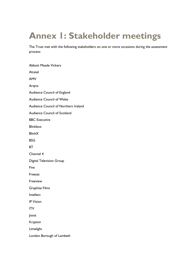### **Annex 1: Stakeholder meetings**

The Trust met with the following stakeholders on one or more occasions during the assessment process:

| <b>Abbott Meade Vickers</b>          |  |
|--------------------------------------|--|
| Alcatel                              |  |
| AMV                                  |  |
| Arqiva                               |  |
| <b>Audience Council of England</b>   |  |
| <b>Audience Council of Wales</b>     |  |
| Audience Council of Northern Ireland |  |
| <b>Audience Council of Scotland</b>  |  |
| <b>BBC Executive</b>                 |  |
| <b>Blinkbox</b>                      |  |
| <b>BlinkX</b>                        |  |
| BSG                                  |  |
| ВT                                   |  |
| Channel 4                            |  |
| <b>Digital Television Group</b>      |  |
| Five                                 |  |
| Freesat                              |  |
| Freeview                             |  |
| <b>Graphite Films</b>                |  |
| Intellect                            |  |
| <b>IP Vision</b>                     |  |
| ITV                                  |  |
| Joost                                |  |
| Krypton                              |  |
| Limelight                            |  |
| London Borough of Lambeth            |  |
|                                      |  |